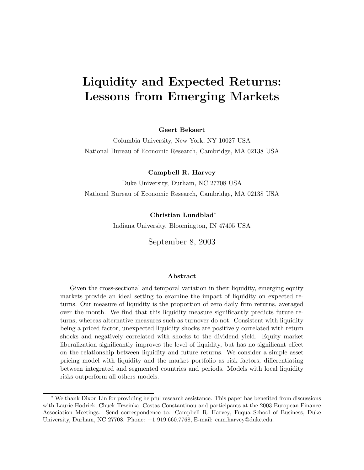# **Liquidity and Expected Returns: Lessons from Emerging Markets**

**Geert Bekaert**

Columbia University, New York, NY 10027 USA National Bureau of Economic Research, Cambridge, MA 02138 USA

**Campbell R. Harvey**

Duke University, Durham, NC 27708 USA National Bureau of Economic Research, Cambridge, MA 02138 USA

> **Christian Lundblad**<sup>∗</sup> Indiana University, Bloomington, IN 47405 USA

September 8, 2003

#### **Abstract**

Given the cross-sectional and temporal variation in their liquidity, emerging equity markets provide an ideal setting to examine the impact of liquidity on expected returns. Our measure of liquidity is the proportion of zero daily firm returns, averaged over the month. We find that this liquidity measure significantly predicts future returns, whereas alternative measures such as turnover do not. Consistent with liquidity being a priced factor, unexpected liquidity shocks are positively correlated with return shocks and negatively correlated with shocks to the dividend yield. Equity market liberalization significantly improves the level of liquidity, but has no significant effect on the relationship between liquidity and future returns. We consider a simple asset pricing model with liquidity and the market portfolio as risk factors, differentiating between integrated and segmented countries and periods. Models with local liquidity risks outperform all others models.

<sup>∗</sup> We thank Dixon Lin for providing helpful research assistance. This paper has benefited from discussions with Laurie Hodrick, Chuck Trzcinka, Costas Constantinou and participants at the 2003 European Finance Association Meetings. Send correspondence to: Campbell R. Harvey, Fuqua School of Business, Duke University, Durham, NC 27708. Phone: +1 919.660.7768, E-mail: cam.harvey@duke.edu.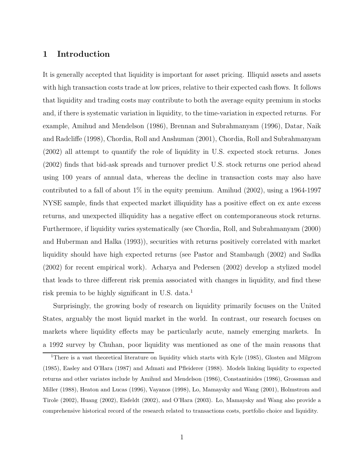#### **1 Introduction**

It is generally accepted that liquidity is important for asset pricing. Illiquid assets and assets with high transaction costs trade at low prices, relative to their expected cash flows. It follows that liquidity and trading costs may contribute to both the average equity premium in stocks and, if there is systematic variation in liquidity, to the time-variation in expected returns. For example, Amihud and Mendelson (1986), Brennan and Subrahmanyam (1996), Datar, Naik and Radcliffe (1998), Chordia, Roll and Anshuman (2001), Chordia, Roll and Subrahmanyam (2002) all attempt to quantify the role of liquidity in U.S. expected stock returns. Jones (2002) finds that bid-ask spreads and turnover predict U.S. stock returns one period ahead using 100 years of annual data, whereas the decline in transaction costs may also have contributed to a fall of about  $1\%$  in the equity premium. Amihud (2002), using a 1964-1997 NYSE sample, finds that expected market illiquidity has a positive effect on ex ante excess returns, and unexpected illiquidity has a negative effect on contemporaneous stock returns. Furthermore, if liquidity varies systematically (see Chordia, Roll, and Subrahmanyam (2000) and Huberman and Halka (1993)), securities with returns positively correlated with market liquidity should have high expected returns (see Pastor and Stambaugh (2002) and Sadka (2002) for recent empirical work). Acharya and Pedersen (2002) develop a stylized model that leads to three different risk premia associated with changes in liquidity, and find these risk premia to be highly significant in U.S. data.<sup>1</sup>

Surprisingly, the growing body of research on liquidity primarily focuses on the United States, arguably the most liquid market in the world. In contrast, our research focuses on markets where liquidity effects may be particularly acute, namely emerging markets. In a 1992 survey by Chuhan, poor liquidity was mentioned as one of the main reasons that

<sup>&</sup>lt;sup>1</sup>There is a vast theoretical literature on liquidity which starts with Kyle (1985), Glosten and Milgrom (1985), Easley and O'Hara (1987) and Admati and Pfleiderer (1988). Models linking liquidity to expected returns and other variates include by Amihud and Mendelson (1986), Constantinides (1986), Grossman and Miller (1988), Heaton and Lucas (1996), Vayanos (1998), Lo, Mamaysky and Wang (2001), Holmstrom and Tirole (2002), Huang (2002), Eisfeldt (2002), and O'Hara (2003). Lo, Mamaysky and Wang also provide a comprehensive historical record of the research related to transactions costs, portfolio choice and liquidity.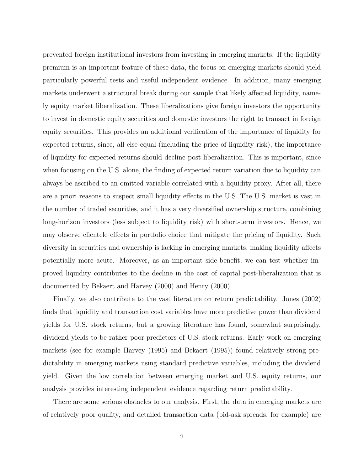prevented foreign institutional investors from investing in emerging markets. If the liquidity premium is an important feature of these data, the focus on emerging markets should yield particularly powerful tests and useful independent evidence. In addition, many emerging markets underwent a structural break during our sample that likely affected liquidity, namely equity market liberalization. These liberalizations give foreign investors the opportunity to invest in domestic equity securities and domestic investors the right to transact in foreign equity securities. This provides an additional verification of the importance of liquidity for expected returns, since, all else equal (including the price of liquidity risk), the importance of liquidity for expected returns should decline post liberalization. This is important, since when focusing on the U.S. alone, the finding of expected return variation due to liquidity can always be ascribed to an omitted variable correlated with a liquidity proxy. After all, there are a priori reasons to suspect small liquidity effects in the U.S. The U.S. market is vast in the number of traded securities, and it has a very diversified ownership structure, combining long-horizon investors (less subject to liquidity risk) with short-term investors. Hence, we may observe clientele effects in portfolio choice that mitigate the pricing of liquidity. Such diversity in securities and ownership is lacking in emerging markets, making liquidity affects potentially more acute. Moreover, as an important side-benefit, we can test whether improved liquidity contributes to the decline in the cost of capital post-liberalization that is documented by Bekaert and Harvey (2000) and Henry (2000).

Finally, we also contribute to the vast literature on return predictability. Jones (2002) finds that liquidity and transaction cost variables have more predictive power than dividend yields for U.S. stock returns, but a growing literature has found, somewhat surprisingly, dividend yields to be rather poor predictors of U.S. stock returns. Early work on emerging markets (see for example Harvey (1995) and Bekaert (1995)) found relatively strong predictability in emerging markets using standard predictive variables, including the dividend yield. Given the low correlation between emerging market and U.S. equity returns, our analysis provides interesting independent evidence regarding return predictability.

There are some serious obstacles to our analysis. First, the data in emerging markets are of relatively poor quality, and detailed transaction data (bid-ask spreads, for example) are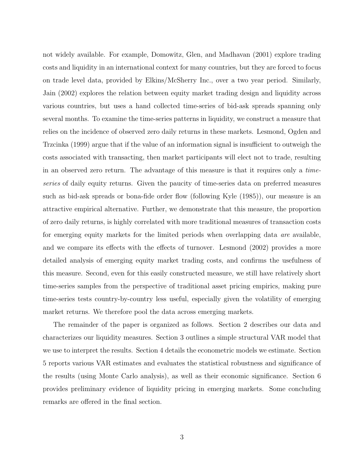not widely available. For example, Domowitz, Glen, and Madhavan (2001) explore trading costs and liquidity in an international context for many countries, but they are forced to focus on trade level data, provided by Elkins/McSherry Inc., over a two year period. Similarly, Jain (2002) explores the relation between equity market trading design and liquidity across various countries, but uses a hand collected time-series of bid-ask spreads spanning only several months. To examine the time-series patterns in liquidity, we construct a measure that relies on the incidence of observed zero daily returns in these markets. Lesmond, Ogden and Trzcinka (1999) argue that if the value of an information signal is insufficient to outweigh the costs associated with transacting, then market participants will elect not to trade, resulting in an observed zero return. The advantage of this measure is that it requires only a *timeseries* of daily equity returns. Given the paucity of time-series data on preferred measures such as bid-ask spreads or bona-fide order flow (following Kyle (1985)), our measure is an attractive empirical alternative. Further, we demonstrate that this measure, the proportion of zero daily returns, is highly correlated with more traditional measures of transaction costs for emerging equity markets for the limited periods when overlapping data *are* available, and we compare its effects with the effects of turnover. Lesmond (2002) provides a more detailed analysis of emerging equity market trading costs, and confirms the usefulness of this measure. Second, even for this easily constructed measure, we still have relatively short time-series samples from the perspective of traditional asset pricing empirics, making pure time-series tests country-by-country less useful, especially given the volatility of emerging market returns. We therefore pool the data across emerging markets.

The remainder of the paper is organized as follows. Section 2 describes our data and characterizes our liquidity measures. Section 3 outlines a simple structural VAR model that we use to interpret the results. Section 4 details the econometric models we estimate. Section 5 reports various VAR estimates and evaluates the statistical robustness and significance of the results (using Monte Carlo analysis), as well as their economic significance. Section 6 provides preliminary evidence of liquidity pricing in emerging markets. Some concluding remarks are offered in the final section.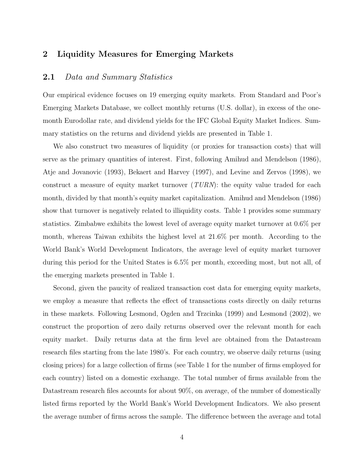#### **2 Liquidity Measures for Emerging Markets**

#### **2.1** *Data and Summary Statistics*

Our empirical evidence focuses on 19 emerging equity markets. From Standard and Poor's Emerging Markets Database, we collect monthly returns (U.S. dollar), in excess of the onemonth Eurodollar rate, and dividend yields for the IFC Global Equity Market Indices. Summary statistics on the returns and dividend yields are presented in Table 1.

We also construct two measures of liquidity (or proxies for transaction costs) that will serve as the primary quantities of interest. First, following Amihud and Mendelson (1986), Atje and Jovanovic (1993), Bekaert and Harvey (1997), and Levine and Zervos (1998), we construct a measure of equity market turnover (*TURN*): the equity value traded for each month, divided by that month's equity market capitalization. Amihud and Mendelson (1986) show that turnover is negatively related to illiquidity costs. Table 1 provides some summary statistics. Zimbabwe exhibits the lowest level of average equity market turnover at 0.6% per month, whereas Taiwan exhibits the highest level at 21.6% per month. According to the World Bank's World Development Indicators, the average level of equity market turnover during this period for the United States is 6.5% per month, exceeding most, but not all, of the emerging markets presented in Table 1.

Second, given the paucity of realized transaction cost data for emerging equity markets, we employ a measure that reflects the effect of transactions costs directly on daily returns in these markets. Following Lesmond, Ogden and Trzcinka (1999) and Lesmond (2002), we construct the proportion of zero daily returns observed over the relevant month for each equity market. Daily returns data at the firm level are obtained from the Datastream research files starting from the late 1980's. For each country, we observe daily returns (using closing prices) for a large collection of firms (see Table 1 for the number of firms employed for each country) listed on a domestic exchange. The total number of firms available from the Datastream research files accounts for about  $90\%$ , on average, of the number of domestically listed firms reported by the World Bank's World Development Indicators. We also present the average number of firms across the sample. The difference between the average and total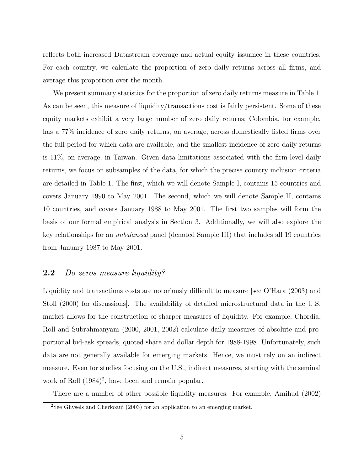reflects both increased Datastream coverage and actual equity issuance in these countries. For each country, we calculate the proportion of zero daily returns across all firms, and average this proportion over the month.

We present summary statistics for the proportion of zero daily returns measure in Table 1. As can be seen, this measure of liquidity/transactions cost is fairly persistent. Some of these equity markets exhibit a very large number of zero daily returns; Colombia, for example, has a 77% incidence of zero daily returns, on average, across domestically listed firms over the full period for which data are available, and the smallest incidence of zero daily returns is 11%, on average, in Taiwan. Given data limitations associated with the firm-level daily returns, we focus on subsamples of the data, for which the precise country inclusion criteria are detailed in Table 1. The first, which we will denote Sample I, contains 15 countries and covers January 1990 to May 2001. The second, which we will denote Sample II, contains 10 countries, and covers January 1988 to May 2001. The first two samples will form the basis of our formal empirical analysis in Section 3. Additionally, we will also explore the key relationships for an *unbalanced* panel (denoted Sample III) that includes all 19 countries from January 1987 to May 2001.

## **2.2** *Do zeros measure liquidity?*

Liquidity and transactions costs are notoriously difficult to measure [see O'Hara (2003) and Stoll (2000) for discussions]. The availability of detailed microstructural data in the U.S. market allows for the construction of sharper measures of liquidity. For example, Chordia, Roll and Subrahmanyam (2000, 2001, 2002) calculate daily measures of absolute and proportional bid-ask spreads, quoted share and dollar depth for 1988-1998. Unfortunately, such data are not generally available for emerging markets. Hence, we must rely on an indirect measure. Even for studies focusing on the U.S., indirect measures, starting with the seminal work of Roll  $(1984)^2$ , have been and remain popular.

There are a number of other possible liquidity measures. For example, Amihud (2002)

<sup>2</sup>See Ghysels and Cherkoaui (2003) for an application to an emerging market.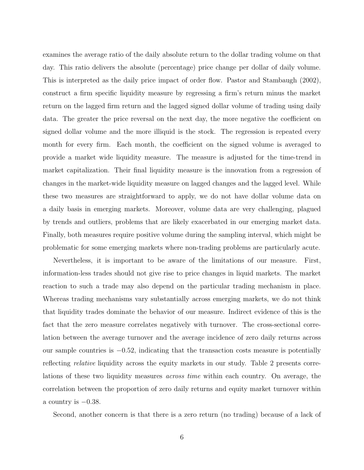examines the average ratio of the daily absolute return to the dollar trading volume on that day. This ratio delivers the absolute (percentage) price change per dollar of daily volume. This is interpreted as the daily price impact of order flow. Pastor and Stambaugh (2002), construct a firm specific liquidity measure by regressing a firm's return minus the market return on the lagged firm return and the lagged signed dollar volume of trading using daily data. The greater the price reversal on the next day, the more negative the coefficient on signed dollar volume and the more illiquid is the stock. The regression is repeated every month for every firm. Each month, the coefficient on the signed volume is averaged to provide a market wide liquidity measure. The measure is adjusted for the time-trend in market capitalization. Their final liquidity measure is the innovation from a regression of changes in the market-wide liquidity measure on lagged changes and the lagged level. While these two measures are straightforward to apply, we do not have dollar volume data on a daily basis in emerging markets. Moreover, volume data are very challenging, plagued by trends and outliers, problems that are likely exacerbated in our emerging market data. Finally, both measures require positive volume during the sampling interval, which might be problematic for some emerging markets where non-trading problems are particularly acute.

Nevertheless, it is important to be aware of the limitations of our measure. First, information-less trades should not give rise to price changes in liquid markets. The market reaction to such a trade may also depend on the particular trading mechanism in place. Whereas trading mechanisms vary substantially across emerging markets, we do not think that liquidity trades dominate the behavior of our measure. Indirect evidence of this is the fact that the zero measure correlates negatively with turnover. The cross-sectional correlation between the average turnover and the average incidence of zero daily returns across our sample countries is  $-0.52$ , indicating that the transaction costs measure is potentially reflecting *relative* liquidity across the equity markets in our study. Table 2 presents correlations of these two liquidity measures *across time* within each country. On average, the correlation between the proportion of zero daily returns and equity market turnover within a country is  $-0.38$ .

Second, another concern is that there is a zero return (no trading) because of a lack of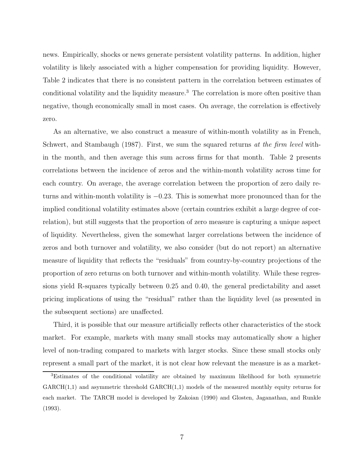news. Empirically, shocks or news generate persistent volatility patterns. In addition, higher volatility is likely associated with a higher compensation for providing liquidity. However, Table 2 indicates that there is no consistent pattern in the correlation between estimates of conditional volatility and the liquidity measure.<sup>3</sup> The correlation is more often positive than negative, though economically small in most cases. On average, the correlation is effectively zero.

As an alternative, we also construct a measure of within-month volatility as in French, Schwert, and Stambaugh (1987). First, we sum the squared returns *at the firm level* within the month, and then average this sum across firms for that month. Table 2 presents correlations between the incidence of zeros and the within-month volatility across time for each country. On average, the average correlation between the proportion of zero daily returns and within-month volatility is  $-0.23$ . This is somewhat more pronounced than for the implied conditional volatility estimates above (certain countries exhibit a large degree of correlation), but still suggests that the proportion of zero measure is capturing a unique aspect of liquidity. Nevertheless, given the somewhat larger correlations between the incidence of zeros and both turnover and volatility, we also consider (but do not report) an alternative measure of liquidity that reflects the "residuals" from country-by-country projections of the proportion of zero returns on both turnover and within-month volatility. While these regressions yield R-squares typically between 0.25 and 0.40, the general predictability and asset pricing implications of using the "residual" rather than the liquidity level (as presented in the subsequent sections) are unaffected.

Third, it is possible that our measure artificially reflects other characteristics of the stock market. For example, markets with many small stocks may automatically show a higher level of non-trading compared to markets with larger stocks. Since these small stocks only represent a small part of the market, it is not clear how relevant the measure is as a market-

<sup>3</sup>Estimates of the conditional volatility are obtained by maximum likelihood for both symmetric  $GARCH(1,1)$  and asymmetric threshold  $GARCH(1,1)$  models of the measured monthly equity returns for each market. The TARCH model is developed by Zakoian (1990) and Glosten, Jaganathan, and Runkle (1993).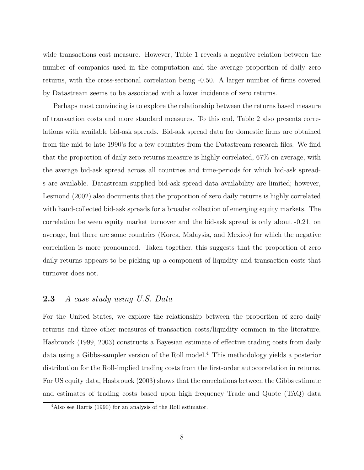wide transactions cost measure. However, Table 1 reveals a negative relation between the number of companies used in the computation and the average proportion of daily zero returns, with the cross-sectional correlation being -0.50. A larger number of firms covered by Datastream seems to be associated with a lower incidence of zero returns.

Perhaps most convincing is to explore the relationship between the returns based measure of transaction costs and more standard measures. To this end, Table 2 also presents correlations with available bid-ask spreads. Bid-ask spread data for domestic firms are obtained from the mid to late 1990's for a few countries from the Datastream research files. We find that the proportion of daily zero returns measure is highly correlated, 67% on average, with the average bid-ask spread across all countries and time-periods for which bid-ask spreads are available. Datastream supplied bid-ask spread data availability are limited; however, Lesmond (2002) also documents that the proportion of zero daily returns is highly correlated with hand-collected bid-ask spreads for a broader collection of emerging equity markets. The correlation between equity market turnover and the bid-ask spread is only about -0.21, on average, but there are some countries (Korea, Malaysia, and Mexico) for which the negative correlation is more pronounced. Taken together, this suggests that the proportion of zero daily returns appears to be picking up a component of liquidity and transaction costs that turnover does not.

#### **2.3** *A case study using U.S. Data*

For the United States, we explore the relationship between the proportion of zero daily returns and three other measures of transaction costs/liquidity common in the literature. Hasbrouck (1999, 2003) constructs a Bayesian estimate of effective trading costs from daily data using a Gibbs-sampler version of the Roll model.<sup>4</sup> This methodology yields a posterior distribution for the Roll-implied trading costs from the first-order autocorrelation in returns. For US equity data, Hasbrouck (2003) shows that the correlations between the Gibbs estimate and estimates of trading costs based upon high frequency Trade and Quote (TAQ) data

<sup>4</sup>Also see Harris (1990) for an analysis of the Roll estimator.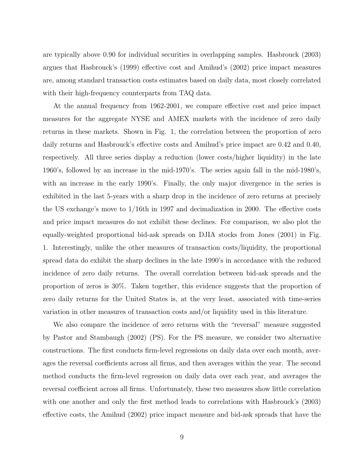are typically above 0.90 for individual securities in overlapping samples. Hasbrouck (2003) argues that Hasbrouck's (1999) effective cost and Amihud's (2002) price impact measures are, among standard transaction costs estimates based on daily data, most closely correlated with their high-frequency counterparts from TAQ data.

At the annual frequency from 1962-2001, we compare effective cost and price impact measures for the aggregate NYSE and AMEX markets with the incidence of zero daily returns in these markets. Shown in Fig. 1, the correlation between the proportion of zero daily returns and Hasbrouck's effective costs and Amihud's price impact are 0.42 and 0.40, respectively. All three series display a reduction (lower costs/higher liquidity) in the late 1960's, followed by an increase in the mid-1970's. The series again fall in the mid-1980's, with an increase in the early 1990's. Finally, the only major divergence in the series is exhibited in the last 5-years with a sharp drop in the incidence of zero returns at precisely the US exchange's move to 1/16th in 1997 and decimalization in 2000. The effective costs and price impact measures do not exhibit these declines. For comparison, we also plot the equally-weighted proportional bid-ask spreads on DJIA stocks from Jones (2001) in Fig. 1. Interestingly, unlike the other measures of transaction costs/liquidity, the proportional spread data do exhibit the sharp declines in the late 1990's in accordance with the reduced incidence of zero daily returns. The overall correlation between bid-ask spreads and the proportion of zeros is 30%. Taken together, this evidence suggests that the proportion of zero daily returns for the United States is, at the very least, associated with time-series variation in other measures of transaction costs and/or liquidity used in this literature.

We also compare the incidence of zero returns with the "reversal" measure suggested by Pastor and Stambaugh (2002) (PS). For the PS measure, we consider two alternative constructions. The first conducts firm-level regressions on daily data over each month, averages the reversal coefficients across all firms, and then averages within the year. The second method conducts the firm-level regression on daily data over each year, and averages the reversal coefficient across all firms. Unfortunately, these two measures show little correlation with one another and only the first method leads to correlations with Hasbrouck's (2003) effective costs, the Amihud (2002) price impact measure and bid-ask spreads that have the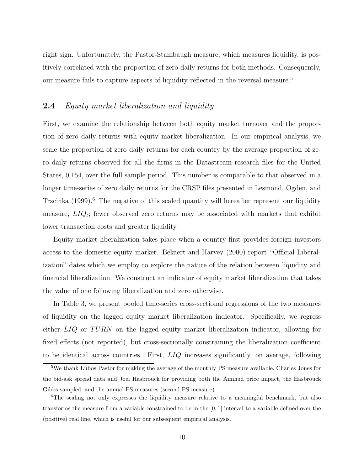right sign. Unfortunately, the Pastor-Stambaugh measure, which measures liquidity, is positively correlated with the proportion of zero daily returns for both methods. Consequently, our measure fails to capture aspects of liquidity reflected in the reversal measure.<sup>5</sup>

#### **2.4** *Equity market liberalization and liquidity*

First, we examine the relationship between both equity market turnover and the proportion of zero daily returns with equity market liberalization. In our empirical analysis, we scale the proportion of zero daily returns for each country by the average proportion of zero daily returns observed for all the firms in the Datastream research files for the United States, 0.154, over the full sample period. This number is comparable to that observed in a longer time-series of zero daily returns for the CRSP files presented in Lesmond, Ogden, and Trzcinka  $(1999)$ .<sup>6</sup> The negative of this scaled quantity will hereafter represent our liquidity measure,  $LIQ_t$ ; fewer observed zero returns may be associated with markets that exhibit lower transaction costs and greater liquidity.

Equity market liberalization takes place when a country first provides foreign investors access to the domestic equity market. Bekaert and Harvey (2000) report "Official Liberalization" dates which we employ to explore the nature of the relation between liquidity and financial liberalization. We construct an indicator of equity market liberalization that takes the value of one following liberalization and zero otherwise.

In Table 3, we present pooled time-series cross-sectional regressions of the two measures of liquidity on the lagged equity market liberalization indicator. Specifically, we regress either LIQ or TURN on the lagged equity market liberalization indicator, allowing for fixed effects (not reported), but cross-sectionally constraining the liberalization coefficient to be identical across countries. First, LIQ increases significantly, on average, following

<sup>&</sup>lt;sup>5</sup>We thank Lubos Pastor for making the average of the monthly PS measure available, Charles Jones for the bid-ask spread data and Joel Hasbrouck for providing both the Amihud price impact, the Hasbrouck Gibbs sampled, and the annual PS measures (second PS measure).

<sup>&</sup>lt;sup>6</sup>The scaling not only expresses the liquidity measure relative to a meaningful benchmark, but also transforms the measure from a variable constrained to be in the [0, 1] interval to a variable defined over the (positive) real line, which is useful for our subsequent empirical analysis.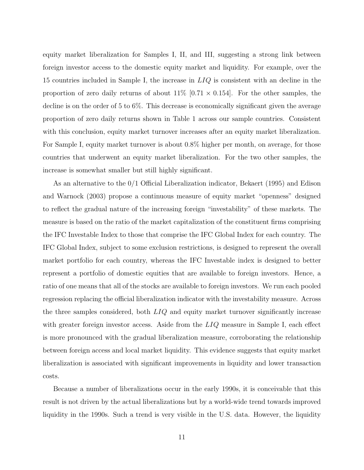equity market liberalization for Samples I, II, and III, suggesting a strong link between foreign investor access to the domestic equity market and liquidity. For example, over the 15 countries included in Sample I, the increase in LIQ is consistent with an decline in the proportion of zero daily returns of about  $11\%$  [0.71  $\times$  0.154]. For the other samples, the decline is on the order of 5 to 6%. This decrease is economically significant given the average proportion of zero daily returns shown in Table 1 across our sample countries. Consistent with this conclusion, equity market turnover increases after an equity market liberalization. For Sample I, equity market turnover is about 0.8% higher per month, on average, for those countries that underwent an equity market liberalization. For the two other samples, the increase is somewhat smaller but still highly significant.

As an alternative to the 0/1 Official Liberalization indicator, Bekaert (1995) and Edison and Warnock (2003) propose a continuous measure of equity market "openness" designed to reflect the gradual nature of the increasing foreign "investability" of these markets. The measure is based on the ratio of the market capitalization of the constituent firms comprising the IFC Investable Index to those that comprise the IFC Global Index for each country. The IFC Global Index, subject to some exclusion restrictions, is designed to represent the overall market portfolio for each country, whereas the IFC Investable index is designed to better represent a portfolio of domestic equities that are available to foreign investors. Hence, a ratio of one means that all of the stocks are available to foreign investors. We run each pooled regression replacing the official liberalization indicator with the investability measure. Across the three samples considered, both  $LIQ$  and equity market turnover significantly increase with greater foreign investor access. Aside from the  $LIQ$  measure in Sample I, each effect is more pronounced with the gradual liberalization measure, corroborating the relationship between foreign access and local market liquidity. This evidence suggests that equity market liberalization is associated with significant improvements in liquidity and lower transaction costs.

Because a number of liberalizations occur in the early 1990s, it is conceivable that this result is not driven by the actual liberalizations but by a world-wide trend towards improved liquidity in the 1990s. Such a trend is very visible in the U.S. data. However, the liquidity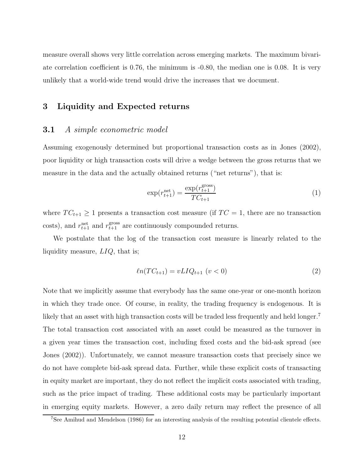measure overall shows very little correlation across emerging markets. The maximum bivariate correlation coefficient is 0.76, the minimum is -0.80, the median one is 0.08. It is very unlikely that a world-wide trend would drive the increases that we document.

#### **3 Liquidity and Expected returns**

#### **3.1** *A simple econometric model*

Assuming exogenously determined but proportional transaction costs as in Jones (2002), poor liquidity or high transaction costs will drive a wedge between the gross returns that we measure in the data and the actually obtained returns ("net returns"), that is:

$$
\exp(r_{t+1}^{\text{net}}) = \frac{\exp(r_{t+1}^{\text{gross}})}{TC_{t+1}}\tag{1}
$$

where  $TC_{t+1} \geq 1$  presents a transaction cost measure (if  $TC = 1$ , there are no transaction costs), and  $r_{t+1}^{\text{net}}$  and  $r_{t+1}^{\text{gross}}$  are continuously compounded returns.

We postulate that the log of the transaction cost measure is linearly related to the liquidity measure, LIQ, that is;

$$
\ell n(T C_{t+1}) = vLI Q_{t+1} \ (v < 0)
$$
\n(2)

Note that we implicitly assume that everybody has the same one-year or one-month horizon in which they trade once. Of course, in reality, the trading frequency is endogenous. It is likely that an asset with high transaction costs will be traded less frequently and held longer. The total transaction cost associated with an asset could be measured as the turnover in a given year times the transaction cost, including fixed costs and the bid-ask spread (see Jones (2002)). Unfortunately, we cannot measure transaction costs that precisely since we do not have complete bid-ask spread data. Further, while these explicit costs of transacting in equity market are important, they do not reflect the implicit costs associated with trading, such as the price impact of trading. These additional costs may be particularly important in emerging equity markets. However, a zero daily return may reflect the presence of all

<sup>7</sup>See Amihud and Mendelson (1986) for an interesting analysis of the resulting potential clientele effects.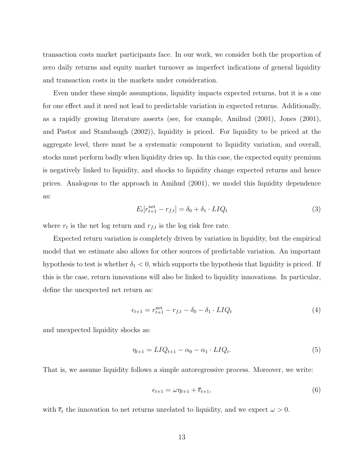transaction costs market participants face. In our work, we consider both the proportion of zero daily returns and equity market turnover as imperfect indications of general liquidity and transaction costs in the markets under consideration.

Even under these simple assumptions, liquidity impacts expected returns, but it is a one for one effect and it need not lead to predictable variation in expected returns. Additionally, as a rapidly growing literature asserts (see, for example, Amihud (2001), Jones (2001), and Pastor and Stambaugh (2002)), liquidity is priced. For liquidity to be priced at the aggregate level, there must be a systematic component to liquidity variation, and overall, stocks must perform badly when liquidity dries up. In this case, the expected equity premium is negatively linked to liquidity, and shocks to liquidity change expected returns and hence prices. Analogous to the approach in Amihud (2001), we model this liquidity dependence as:

$$
E_t[r_{t+1}^{\text{net}} - r_{f,t}] = \delta_0 + \delta_1 \cdot LIQ_t \tag{3}
$$

where  $r_t$  is the net log return and  $r_{f,t}$  is the log risk free rate.

Expected return variation is completely driven by variation in liquidity, but the empirical model that we estimate also allows for other sources of predictable variation. An important hypothesis to test is whether  $\delta_1 < 0$ , which supports the hypothesis that liquidity is priced. If this is the case, return innovations will also be linked to liquidity innovations. In particular, define the unexpected net return as:

$$
\epsilon_{t+1} = r_{t+1}^{\text{net}} - r_{f,t} - \delta_0 - \delta_1 \cdot LIQ_t \tag{4}
$$

and unexpected liquidity shocks as:

$$
\eta_{t+1} = LIQ_{t+1} - \alpha_0 - \alpha_1 \cdot LIQ_t.
$$
\n
$$
(5)
$$

That is, we assume liquidity follows a simple autoregressive process. Moreover, we write:

$$
\epsilon_{t+1} = \omega \eta_{t+1} + \overline{\epsilon}_{t+1},\tag{6}
$$

with  $\overline{\epsilon}_t$  the innovation to net returns unrelated to liquidity, and we expect  $\omega > 0$ .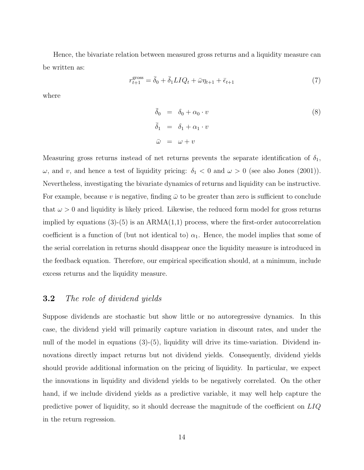Hence, the bivariate relation between measured gross returns and a liquidity measure can be written as:

$$
r_{t+1}^{\text{gross}} = \bar{\delta}_0 + \bar{\delta}_1 L I Q_t + \bar{\omega} \eta_{t+1} + \bar{\epsilon}_{t+1} \tag{7}
$$

where

$$
\begin{aligned}\n\bar{\delta}_0 &= \delta_0 + \alpha_0 \cdot v \\
\bar{\delta}_1 &= \delta_1 + \alpha_1 \cdot v \\
\bar{\omega} &= \omega + v\n\end{aligned} \tag{8}
$$

Measuring gross returns instead of net returns prevents the separate identification of  $\delta_1$ ,  $ω$ , and v, and hence a test of liquidity pricing:  $δ₁ < 0$  and  $ω > 0$  (see also Jones (2001)). Nevertheless, investigating the bivariate dynamics of returns and liquidity can be instructive. For example, because v is negative, finding  $\bar{\omega}$  to be greater than zero is sufficient to conclude that  $\omega > 0$  and liquidity is likely priced. Likewise, the reduced form model for gross returns implied by equations  $(3)-(5)$  is an ARMA $(1,1)$  process, where the first-order autocorrelation coefficient is a function of (but not identical to)  $\alpha_1$ . Hence, the model implies that some of the serial correlation in returns should disappear once the liquidity measure is introduced in the feedback equation. Therefore, our empirical specification should, at a minimum, include excess returns and the liquidity measure.

### **3.2** *The role of dividend yields*

Suppose dividends are stochastic but show little or no autoregressive dynamics. In this case, the dividend yield will primarily capture variation in discount rates, and under the null of the model in equations (3)-(5), liquidity will drive its time-variation. Dividend innovations directly impact returns but not dividend yields. Consequently, dividend yields should provide additional information on the pricing of liquidity. In particular, we expect the innovations in liquidity and dividend yields to be negatively correlated. On the other hand, if we include dividend yields as a predictive variable, it may well help capture the predictive power of liquidity, so it should decrease the magnitude of the coefficient on LIQ in the return regression.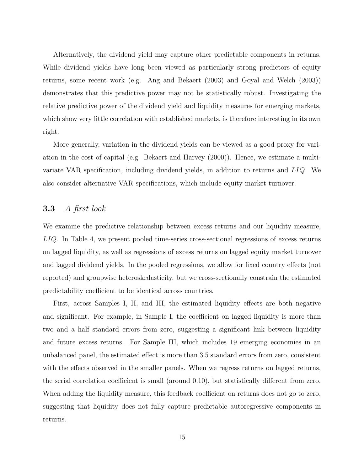Alternatively, the dividend yield may capture other predictable components in returns. While dividend yields have long been viewed as particularly strong predictors of equity returns, some recent work (e.g. Ang and Bekaert (2003) and Goyal and Welch (2003)) demonstrates that this predictive power may not be statistically robust. Investigating the relative predictive power of the dividend yield and liquidity measures for emerging markets, which show very little correlation with established markets, is therefore interesting in its own right.

More generally, variation in the dividend yields can be viewed as a good proxy for variation in the cost of capital (e.g. Bekaert and Harvey (2000)). Hence, we estimate a multivariate VAR specification, including dividend yields, in addition to returns and LIQ. We also consider alternative VAR specifications, which include equity market turnover.

## **3.3** *A first look*

We examine the predictive relationship between excess returns and our liquidity measure, LIQ. In Table 4, we present pooled time-series cross-sectional regressions of excess returns on lagged liquidity, as well as regressions of excess returns on lagged equity market turnover and lagged dividend yields. In the pooled regressions, we allow for fixed country effects (not reported) and groupwise heteroskedasticity, but we cross-sectionally constrain the estimated predictability coefficient to be identical across countries.

First, across Samples I, II, and III, the estimated liquidity effects are both negative and significant. For example, in Sample I, the coefficient on lagged liquidity is more than two and a half standard errors from zero, suggesting a significant link between liquidity and future excess returns. For Sample III, which includes 19 emerging economies in an unbalanced panel, the estimated effect is more than 3.5 standard errors from zero, consistent with the effects observed in the smaller panels. When we regress returns on lagged returns, the serial correlation coefficient is small (around 0.10), but statistically different from zero. When adding the liquidity measure, this feedback coefficient on returns does not go to zero, suggesting that liquidity does not fully capture predictable autoregressive components in returns.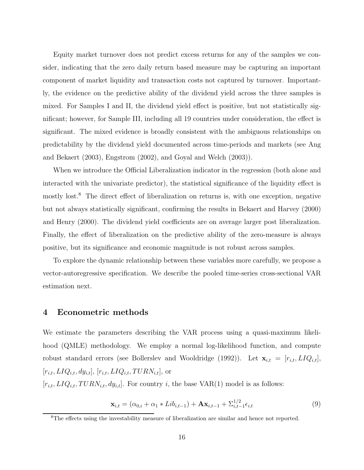Equity market turnover does not predict excess returns for any of the samples we consider, indicating that the zero daily return based measure may be capturing an important component of market liquidity and transaction costs not captured by turnover. Importantly, the evidence on the predictive ability of the dividend yield across the three samples is mixed. For Samples I and II, the dividend yield effect is positive, but not statistically significant; however, for Sample III, including all 19 countries under consideration, the effect is significant. The mixed evidence is broadly consistent with the ambiguous relationships on predictability by the dividend yield documented across time-periods and markets (see Ang and Bekaert (2003), Engstrom (2002), and Goyal and Welch (2003)).

When we introduce the Official Liberalization indicator in the regression (both alone and interacted with the univariate predictor), the statistical significance of the liquidity effect is mostly lost.<sup>8</sup> The direct effect of liberalization on returns is, with one exception, negative but not always statistically significant, confirming the results in Bekaert and Harvey (2000) and Henry (2000). The dividend yield coefficients are on average larger post liberalization. Finally, the effect of liberalization on the predictive ability of the zero-measure is always positive, but its significance and economic magnitude is not robust across samples.

To explore the dynamic relationship between these variables more carefully, we propose a vector-autoregressive specification. We describe the pooled time-series cross-sectional VAR estimation next.

#### **4 Econometric methods**

We estimate the parameters describing the VAR process using a quasi-maximum likelihood (QMLE) methodology. We employ a normal log-likelihood function, and compute robust standard errors (see Bollerslev and Wooldridge (1992)). Let  $\mathbf{x}_{i,t} = [r_{i,t}, LIQ_{i,t}],$  $[r_{i,t}, LIQ_{i,t}, dy_{i,t}],$   $[r_{i,t}, LIQ_{i,t}, TURN_{i,t}],$  or

 $[r_{i,t}, LIQ_{i,t}, TURN_{i,t}, dy_{i,t}]$ . For country i, the base VAR(1) model is as follows:

$$
\mathbf{x}_{i,t} = (\alpha_{0,i} + \alpha_1 * Lib_{i,t-1}) + \mathbf{A}\mathbf{x}_{i,t-1} + \sum_{i,t-1}^{1/2} \epsilon_{i,t}
$$
(9)

<sup>8</sup>The effects using the investability measure of liberalization are similar and hence not reported.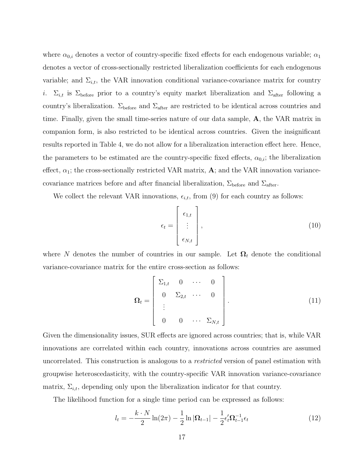where  $\alpha_{0,i}$  denotes a vector of country-specific fixed effects for each endogenous variable;  $\alpha_1$ denotes a vector of cross-sectionally restricted liberalization coefficients for each endogenous variable; and  $\Sigma_{i,t}$ , the VAR innovation conditional variance-covariance matrix for country i.  $\Sigma_{i,t}$  is  $\Sigma_{before}$  prior to a country's equity market liberalization and  $\Sigma_{after}$  following a country's liberalization.  $\Sigma_{before}$  and  $\Sigma_{after}$  are restricted to be identical across countries and time. Finally, given the small time-series nature of our data sample, **A**, the VAR matrix in companion form, is also restricted to be identical across countries. Given the insignificant results reported in Table 4, we do not allow for a liberalization interaction effect here. Hence, the parameters to be estimated are the country-specific fixed effects,  $\alpha_{0,i}$ ; the liberalization effect,  $\alpha_1$ ; the cross-sectionally restricted VAR matrix, **A**; and the VAR innovation variancecovariance matrices before and after financial liberalization,  $\Sigma_{\text{before}}$  and  $\Sigma_{\text{after}}$ .

We collect the relevant VAR innovations,  $\epsilon_{i,t}$ , from (9) for each country as follows:

$$
\epsilon_t = \begin{bmatrix} \epsilon_{1,t} \\ \vdots \\ \epsilon_{N,t} \end{bmatrix},
$$
\n(10)

where N denotes the number of countries in our sample. Let  $\Omega_t$  denote the conditional variance-covariance matrix for the entire cross-section as follows:

$$
\Omega_{t} = \begin{bmatrix} \Sigma_{1,t} & 0 & \cdots & 0 \\ 0 & \Sigma_{2,t} & \cdots & 0 \\ \vdots & & & \\ 0 & 0 & \cdots & \Sigma_{N,t} \end{bmatrix} .
$$
 (11)

Given the dimensionality issues, SUR effects are ignored across countries; that is, while VAR innovations are correlated within each country, innovations across countries are assumed uncorrelated. This construction is analogous to a *restricted* version of panel estimation with groupwise heteroscedasticity, with the country-specific VAR innovation variance-covariance matrix,  $\Sigma_{i,t}$ , depending only upon the liberalization indicator for that country.

The likelihood function for a single time period can be expressed as follows:

$$
l_t = -\frac{k \cdot N}{2} \ln(2\pi) - \frac{1}{2} \ln |\Omega_{t-1}| - \frac{1}{2} \epsilon_t' \Omega_{t-1}^{-1} \epsilon_t
$$
 (12)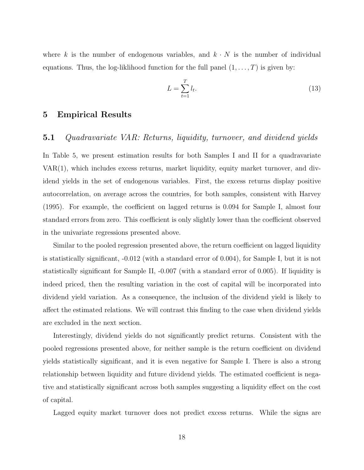where k is the number of endogenous variables, and  $k \cdot N$  is the number of individual equations. Thus, the log-liklihood function for the full panel  $(1,\ldots,T)$  is given by:

$$
L = \sum_{t=1}^{T} l_t.
$$
\n
$$
(13)
$$

#### **5 Empirical Results**

#### **5.1** *Quadravariate VAR: Returns, liquidity, turnover, and dividend yields*

In Table 5, we present estimation results for both Samples I and II for a quadravariate VAR(1), which includes excess returns, market liquidity, equity market turnover, and dividend yields in the set of endogenous variables. First, the excess returns display positive autocorrelation, on average across the countries, for both samples, consistent with Harvey (1995). For example, the coefficient on lagged returns is 0.094 for Sample I, almost four standard errors from zero. This coefficient is only slightly lower than the coefficient observed in the univariate regressions presented above.

Similar to the pooled regression presented above, the return coefficient on lagged liquidity is statistically significant, -0.012 (with a standard error of 0.004), for Sample I, but it is not statistically significant for Sample II, -0.007 (with a standard error of 0.005). If liquidity is indeed priced, then the resulting variation in the cost of capital will be incorporated into dividend yield variation. As a consequence, the inclusion of the dividend yield is likely to affect the estimated relations. We will contrast this finding to the case when dividend yields are excluded in the next section.

Interestingly, dividend yields do not significantly predict returns. Consistent with the pooled regressions presented above, for neither sample is the return coefficient on dividend yields statistically significant, and it is even negative for Sample I. There is also a strong relationship between liquidity and future dividend yields. The estimated coefficient is negative and statistically significant across both samples suggesting a liquidity effect on the cost of capital.

Lagged equity market turnover does not predict excess returns. While the signs are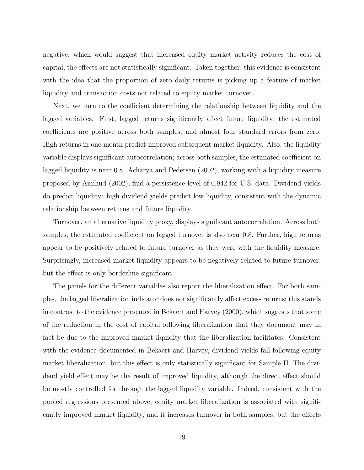negative, which would suggest that increased equity market activity reduces the cost of capital, the effects are not statistically significant. Taken together, this evidence is consistent with the idea that the proportion of zero daily returns is picking up a feature of market liquidity and transaction costs not related to equity market turnover.

Next, we turn to the coefficient determining the relationship between liquidity and the lagged variables. First, lagged returns significantly affect future liquidity; the estimated coefficients are positive across both samples, and almost four standard errors from zero. High returns in one month predict improved subsequent market liquidity. Also, the liquidity variable displays significant autocorrelation; across both samples, the estimated coefficient on lagged liquidity is near 0.8. Acharya and Pedersen (2002), working with a liquidity measure proposed by Amihud (2002), find a persistence level of 0.942 for U.S. data. Dividend yields do predict liquidity: high dividend yields predict low liquidity, consistent with the dynamic relationship between returns and future liquidity.

Turnover, an alternative liquidity proxy, displays significant autocorrelation. Across both samples, the estimated coefficient on lagged turnover is also near 0.8. Further, high returns appear to be positively related to future turnover as they were with the liquidity measure. Surprisingly, increased market liquidity appears to be negatively related to future turnover, but the effect is only borderline significant.

The panels for the different variables also report the liberalization effect. For both samples, the lagged liberalization indicator does not significantly affect excess returns; this stands in contrast to the evidence presented in Bekaert and Harvey (2000), which suggests that some of the reduction in the cost of capital following liberalization that they document may in fact be due to the improved market liquidity that the liberalization facilitates. Consistent with the evidence documented in Bekaert and Harvey, dividend yields fall following equity market liberalization, but this effect is only statistically significant for Sample II. The dividend yield effect may be the result of improved liquidity, although the direct effect should be mostly controlled for through the lagged liquidity variable. Indeed, consistent with the pooled regressions presented above, equity market liberalization is associated with significantly improved market liquidity, and it increases turnover in both samples, but the effects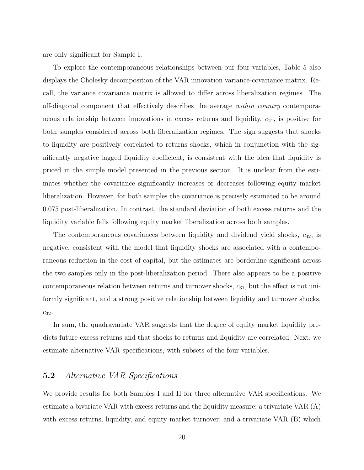are only significant for Sample I.

To explore the contemporaneous relationships between our four variables, Table 5 also displays the Cholesky decomposition of the VAR innovation variance-covariance matrix. Recall, the variance covariance matrix is allowed to differ across liberalization regimes. The off-diagonal component that effectively describes the average *within country* contemporaneous relationship between innovations in excess returns and liquidity,  $c_{21}$ , is positive for both samples considered across both liberalization regimes. The sign suggests that shocks to liquidity are positively correlated to returns shocks, which in conjunction with the significantly negative lagged liquidity coefficient, is consistent with the idea that liquidity is priced in the simple model presented in the previous section. It is unclear from the estimates whether the covariance significantly increases or decreases following equity market liberalization. However, for both samples the covariance is precisely estimated to be around 0.075 post-liberalization. In contrast, the standard deviation of both excess returns and the liquidity variable falls following equity market liberalization across both samples.

The contemporaneous covariances between liquidity and dividend yield shocks,  $c_{42}$ , is negative, consistent with the model that liquidity shocks are associated with a contemporaneous reduction in the cost of capital, but the estimates are borderline significant across the two samples only in the post-liberalization period. There also appears to be a positive contemporaneous relation between returns and turnover shocks,  $c_{31}$ , but the effect is not uniformly significant, and a strong positive relationship between liquidity and turnover shocks,  $c_{32}$ .

In sum, the quadravariate VAR suggests that the degree of equity market liquidity predicts future excess returns and that shocks to returns and liquidity are correlated. Next, we estimate alternative VAR specifications, with subsets of the four variables.

#### **5.2** *Alternative VAR Specifications*

We provide results for both Samples I and II for three alternative VAR specifications. We estimate a bivariate VAR with excess returns and the liquidity measure; a trivariate VAR (A) with excess returns, liquidity, and equity market turnover; and a trivariate VAR (B) which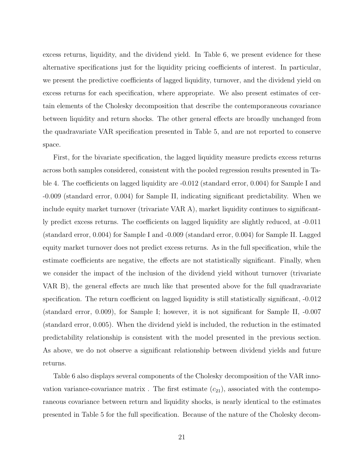excess returns, liquidity, and the dividend yield. In Table 6, we present evidence for these alternative specifications just for the liquidity pricing coefficients of interest. In particular, we present the predictive coefficients of lagged liquidity, turnover, and the dividend yield on excess returns for each specification, where appropriate. We also present estimates of certain elements of the Cholesky decomposition that describe the contemporaneous covariance between liquidity and return shocks. The other general effects are broadly unchanged from the quadravariate VAR specification presented in Table 5, and are not reported to conserve space.

First, for the bivariate specification, the lagged liquidity measure predicts excess returns across both samples considered, consistent with the pooled regression results presented in Table 4. The coefficients on lagged liquidity are  $-0.012$  (standard error, 0.004) for Sample I and -0.009 (standard error, 0.004) for Sample II, indicating significant predictability. When we include equity market turnover (trivariate VAR A), market liquidity continues to significantly predict excess returns. The coefficients on lagged liquidity are slightly reduced, at -0.011 (standard error, 0.004) for Sample I and -0.009 (standard error, 0.004) for Sample II. Lagged equity market turnover does not predict excess returns. As in the full specification, while the estimate coefficients are negative, the effects are not statistically significant. Finally, when we consider the impact of the inclusion of the dividend yield without turnover (trivariate VAR B), the general effects are much like that presented above for the full quadravariate specification. The return coefficient on lagged liquidity is still statistically significant, -0.012 (standard error, 0.009), for Sample I; however, it is not significant for Sample II, -0.007 (standard error, 0.005). When the dividend yield is included, the reduction in the estimated predictability relationship is consistent with the model presented in the previous section. As above, we do not observe a significant relationship between dividend yields and future returns.

Table 6 also displays several components of the Cholesky decomposition of the VAR innovation variance-covariance matrix. The first estimate  $(c_{21})$ , associated with the contemporaneous covariance between return and liquidity shocks, is nearly identical to the estimates presented in Table 5 for the full specification. Because of the nature of the Cholesky decom-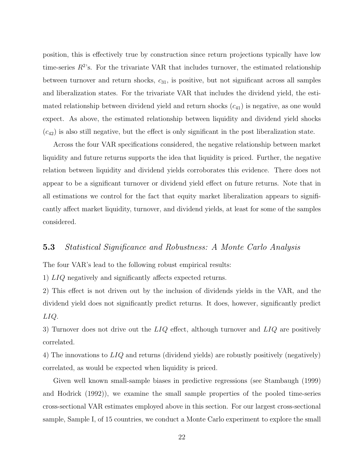position, this is effectively true by construction since return projections typically have low time-series  $R^2$ 's. For the trivariate VAR that includes turnover, the estimated relationship between turnover and return shocks,  $c_{31}$ , is positive, but not significant across all samples and liberalization states. For the trivariate VAR that includes the dividend yield, the estimated relationship between dividend yield and return shocks  $(c_{41})$  is negative, as one would expect. As above, the estimated relationship between liquidity and dividend yield shocks  $(c_{42})$  is also still negative, but the effect is only significant in the post liberalization state.

Across the four VAR specifications considered, the negative relationship between market liquidity and future returns supports the idea that liquidity is priced. Further, the negative relation between liquidity and dividend yields corroborates this evidence. There does not appear to be a significant turnover or dividend yield effect on future returns. Note that in all estimations we control for the fact that equity market liberalization appears to significantly affect market liquidity, turnover, and dividend yields, at least for some of the samples considered.

#### **5.3** *Statistical Significance and Robustness: A Monte Carlo Analysis*

The four VAR's lead to the following robust empirical results:

1) LIQ negatively and significantly affects expected returns.

2) This effect is not driven out by the inclusion of dividends yields in the VAR, and the dividend yield does not significantly predict returns. It does, however, significantly predict LIQ.

3) Turnover does not drive out the  $LIQ$  effect, although turnover and  $LIQ$  are positively correlated.

4) The innovations to  $LIQ$  and returns (dividend yields) are robustly positively (negatively) correlated, as would be expected when liquidity is priced.

Given well known small-sample biases in predictive regressions (see Stambaugh (1999) and Hodrick (1992)), we examine the small sample properties of the pooled time-series cross-sectional VAR estimates employed above in this section. For our largest cross-sectional sample, Sample I, of 15 countries, we conduct a Monte Carlo experiment to explore the small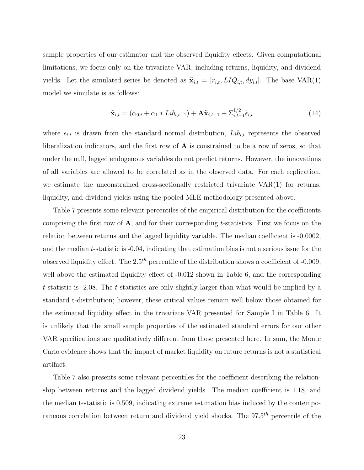sample properties of our estimator and the observed liquidity effects. Given computational limitations, we focus only on the trivariate VAR, including returns, liquidity, and dividend yields. Let the simulated series be denoted as  $\tilde{\mathbf{x}}_{i,t} = [r_{i,t}, L I Q_{i,t}, dy_{i,t}]$ . The base VAR(1) model we simulate is as follows:

$$
\tilde{\mathbf{x}}_{i,t} = (\alpha_{0,i} + \alpha_1 * Lib_{i,t-1}) + \mathbf{A}\tilde{\mathbf{x}}_{i,t-1} + \sum_{i,t-1}^{1/2} \tilde{\epsilon}_{i,t}
$$
\n(14)

where  $\tilde{\epsilon}_{i,t}$  is drawn from the standard normal distribution,  $Lib_{i,t}$  represents the observed liberalization indicators, and the first row of **A** is constrained to be a row of zeros, so that under the null, lagged endogenous variables do not predict returns. However, the innovations of all variables are allowed to be correlated as in the observed data. For each replication, we estimate the unconstrained cross-sectionally restricted trivariate VAR(1) for returns, liquidity, and dividend yields using the pooled MLE methodology presented above.

Table 7 presents some relevant percentiles of the empirical distribution for the coefficients comprising the first row of **A**, and for their corresponding t-statistics. First we focus on the relation between returns and the lagged liquidity variable. The median coefficient is -0.0002, and the median t-statistic is -0.04, indicating that estimation bias is not a serious issue for the observed liquidity effect. The  $2.5<sup>th</sup>$  percentile of the distribution shows a coefficient of -0.009, well above the estimated liquidity effect of  $-0.012$  shown in Table 6, and the corresponding t-statistic is -2.08. The t-statistics are only slightly larger than what would be implied by a standard t-distribution; however, these critical values remain well below those obtained for the estimated liquidity effect in the trivariate VAR presented for Sample I in Table 6. It is unlikely that the small sample properties of the estimated standard errors for our other VAR specifications are qualitatively different from those presented here. In sum, the Monte Carlo evidence shows that the impact of market liquidity on future returns is not a statistical artifact.

Table 7 also presents some relevant percentiles for the coefficient describing the relationship between returns and the lagged dividend yields. The median coefficient is 1.18, and the median t-statistic is 0.509, indicating extreme estimation bias induced by the contemporaneous correlation between return and dividend yield shocks. The  $97.5<sup>th</sup>$  percentile of the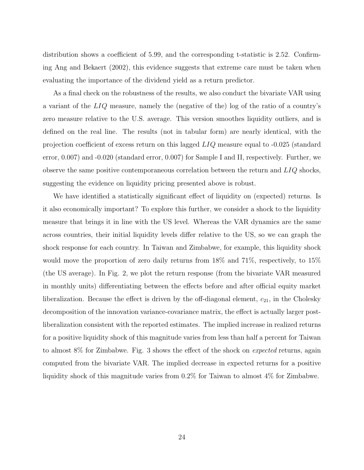distribution shows a coefficient of 5.99, and the corresponding t-statistic is 2.52. Confirming Ang and Bekaert (2002), this evidence suggests that extreme care must be taken when evaluating the importance of the dividend yield as a return predictor.

As a final check on the robustness of the results, we also conduct the bivariate VAR using a variant of the LIQ measure, namely the (negative of the) log of the ratio of a country's zero measure relative to the U.S. average. This version smoothes liquidity outliers, and is defined on the real line. The results (not in tabular form) are nearly identical, with the projection coefficient of excess return on this lagged LIQ measure equal to -0.025 (standard error, 0.007) and -0.020 (standard error, 0.007) for Sample I and II, respectively. Further, we observe the same positive contemporaneous correlation between the return and  $LIQ$  shocks, suggesting the evidence on liquidity pricing presented above is robust.

We have identified a statistically significant effect of liquidity on (expected) returns. Is it also economically important? To explore this further, we consider a shock to the liquidity measure that brings it in line with the US level. Whereas the VAR dynamics are the same across countries, their initial liquidity levels differ relative to the US, so we can graph the shock response for each country. In Taiwan and Zimbabwe, for example, this liquidity shock would move the proportion of zero daily returns from 18% and 71%, respectively, to 15% (the US average). In Fig. 2, we plot the return response (from the bivariate VAR measured in monthly units) differentiating between the effects before and after official equity market liberalization. Because the effect is driven by the off-diagonal element,  $c_{21}$ , in the Cholesky decomposition of the innovation variance-covariance matrix, the effect is actually larger postliberalization consistent with the reported estimates. The implied increase in realized returns for a positive liquidity shock of this magnitude varies from less than half a percent for Taiwan to almost 8% for Zimbabwe. Fig. 3 shows the effect of the shock on *expected* returns, again computed from the bivariate VAR. The implied decrease in expected returns for a positive liquidity shock of this magnitude varies from 0.2% for Taiwan to almost 4% for Zimbabwe.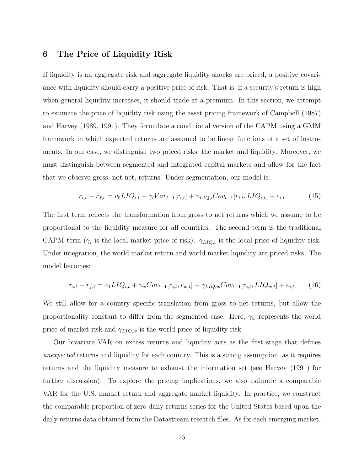#### **6 The Price of Liquidity Risk**

If liquidity is an aggregate risk and aggregate liquidity shocks are priced, a positive covariance with liquidity should carry a positive price of risk. That is, if a security's return is high when general liquidity increases, it should trade at a premium. In this section, we attempt to estimate the price of liquidity risk using the asset pricing framework of Campbell (1987) and Harvey (1989, 1991). They formulate a conditional version of the CAPM using a GMM framework in which expected returns are assumed to be linear functions of a set of instruments. In our case, we distinguish two priced risks, the market and liquidity. Moreover, we must distinguish between segmented and integrated capital markets and allow for the fact that we observe gross, not net, returns. Under segmentation, our model is:

$$
r_{i,t} - r_{f,t} = v_0 L I Q_{i,t} + \gamma_i V a r_{t-1} [r_{i,t}] + \gamma_{LIQ,i} Cov_{t-1} [r_{i,t}, L I Q_{i,t}] + e_{i,t}
$$
(15)

The first term reflects the transformation from gross to net returns which we assume to be proportional to the liquidity measure for all countries. The second term is the traditional CAPM term ( $\gamma_i$  is the local market price of risk).  $\gamma_{LIQ,i}$  is the local price of liquidity risk. Under integration, the world market return and world market liquidity are priced risks. The model becomes:

$$
r_{i,t} - r_{f,t} = v_1 L I Q_{i,t} + \gamma_w Cov_{t-1}[r_{i,t}, r_{w,t}] + \gamma_{LIQ,w} Cov_{t-1}[r_{i,t}, LIQ_{w,t}] + e_{i,t} \tag{16}
$$

We still allow for a country specific translation from gross to net returns, but allow the proportionality constant to differ from the segmented case. Here,  $\gamma_w$  represents the world price of market risk and  $\gamma_{LIQ,w}$  is the world price of liquidity risk.

Our bivariate VAR on excess returns and liquidity acts as the first stage that defines *unexpected* returns and liquidity for each country. This is a strong assumption, as it requires returns and the liquidity measure to exhaust the information set (see Harvey (1991) for further discussion). To explore the pricing implications, we also estimate a comparable VAR for the U.S. market return and aggregate market liquidity. In practice, we construct the comparable proportion of zero daily returns series for the United States based upon the daily returns data obtained from the Datastream research files. As for each emerging market,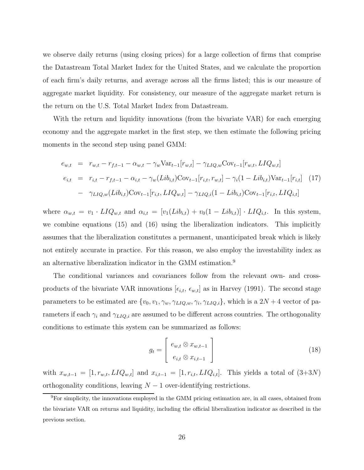we observe daily returns (using closing prices) for a large collection of firms that comprise the Datastream Total Market Index for the United States, and we calculate the proportion of each firm's daily returns, and average across all the firms listed; this is our measure of aggregate market liquidity. For consistency, our measure of the aggregate market return is the return on the U.S. Total Market Index from Datastream.

With the return and liquidity innovations (from the bivariate VAR) for each emerging economy and the aggregate market in the first step, we then estimate the following pricing moments in the second step using panel GMM:

$$
e_{w,t} = r_{w,t} - r_{f,t-1} - \alpha_{w,t} - \gamma_w \text{Var}_{t-1}[r_{w,t}] - \gamma_{LIQ,w} \text{Cov}_{t-1}[r_{w,t}, LIQ_{w,t}]
$$
  
\n
$$
e_{i,t} = r_{i,t} - r_{f,t-1} - \alpha_{i,t} - \gamma_w (Lib_{i,t}) \text{Cov}_{t-1}[r_{i,t}, r_{w,t}] - \gamma_i (1 - Lib_{i,t}) \text{Var}_{t-1}[r_{i,t}] \quad (17)
$$
  
\n
$$
- \gamma_{LIQ,w} (Lib_{i,t}) \text{Cov}_{t-1}[r_{i,t}, LIQ_{w,t}] - \gamma_{LIQ,i} (1 - Lib_{i,t}) \text{Cov}_{t-1}[r_{i,t}, LIQ_{i,t}]
$$

where  $\alpha_{w,t} = v_1 \cdot LIQ_{w,t}$  and  $\alpha_{i,t} = [v_1(Lib_{i,t}) + v_0(1-Lib_{i,t})] \cdot LIQ_{i,t}$ . In this system, we combine equations (15) and (16) using the liberalization indicators. This implicitly assumes that the liberalization constitutes a permanent, unanticipated break which is likely not entirely accurate in practice. For this reason, we also employ the investability index as an alternative liberalization indicator in the GMM estimation.<sup>9</sup>

The conditional variances and covariances follow from the relevant own- and crossproducts of the bivariate VAR innovations  $[\epsilon_{i,t}, \epsilon_{w,t}]$  as in Harvey (1991). The second stage parameters to be estimated are  $\{v_0, v_1, \gamma_w, \gamma_{LIQ,w}, \gamma_i, \gamma_{LIQ,i}\}$ , which is a  $2N + 4$  vector of parameters if each  $\gamma_i$  and  $\gamma_{LIQ,i}$  are assumed to be different across countries. The orthogonality conditions to estimate this system can be summarized as follows:

$$
g_t = \begin{bmatrix} e_{w,t} \otimes x_{w,t-1} \\ e_{i,t} \otimes x_{i,t-1} \end{bmatrix}
$$
 (18)

with  $x_{w,t-1} = [1, r_{w,t}, LIQ_{w,t}]$  and  $x_{i,t-1} = [1, r_{i,t}, LIQ_{i,t}]$ . This yields a total of  $(3+3N)$ orthogonality conditions, leaving  $N - 1$  over-identifying restrictions.

<sup>&</sup>lt;sup>9</sup>For simplicity, the innovations employed in the GMM pricing estimation are, in all cases, obtained from the bivariate VAR on returns and liquidity, including the official liberalization indicator as described in the previous section.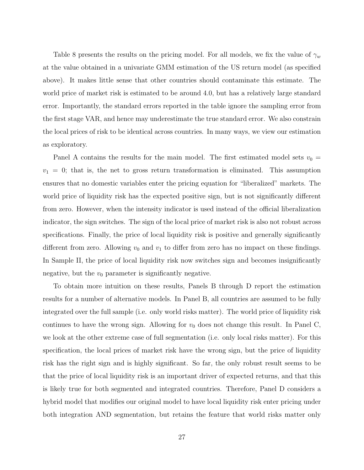Table 8 presents the results on the pricing model. For all models, we fix the value of  $\gamma_w$ at the value obtained in a univariate GMM estimation of the US return model (as specified above). It makes little sense that other countries should contaminate this estimate. The world price of market risk is estimated to be around 4.0, but has a relatively large standard error. Importantly, the standard errors reported in the table ignore the sampling error from the first stage VAR, and hence may underestimate the true standard error. We also constrain the local prices of risk to be identical across countries. In many ways, we view our estimation as exploratory.

Panel A contains the results for the main model. The first estimated model sets  $v_0 =$  $v_1 = 0$ ; that is, the net to gross return transformation is eliminated. This assumption ensures that no domestic variables enter the pricing equation for "liberalized" markets. The world price of liquidity risk has the expected positive sign, but is not significantly different from zero. However, when the intensity indicator is used instead of the official liberalization indicator, the sign switches. The sign of the local price of market risk is also not robust across specifications. Finally, the price of local liquidity risk is positive and generally significantly different from zero. Allowing  $v_0$  and  $v_1$  to differ from zero has no impact on these findings. In Sample II, the price of local liquidity risk now switches sign and becomes insignificantly negative, but the  $v_0$  parameter is significantly negative.

To obtain more intuition on these results, Panels B through D report the estimation results for a number of alternative models. In Panel B, all countries are assumed to be fully integrated over the full sample (i.e. only world risks matter). The world price of liquidity risk continues to have the wrong sign. Allowing for  $v_0$  does not change this result. In Panel C, we look at the other extreme case of full segmentation (i.e. only local risks matter). For this specification, the local prices of market risk have the wrong sign, but the price of liquidity risk has the right sign and is highly significant. So far, the only robust result seems to be that the price of local liquidity risk is an important driver of expected returns, and that this is likely true for both segmented and integrated countries. Therefore, Panel D considers a hybrid model that modifies our original model to have local liquidity risk enter pricing under both integration AND segmentation, but retains the feature that world risks matter only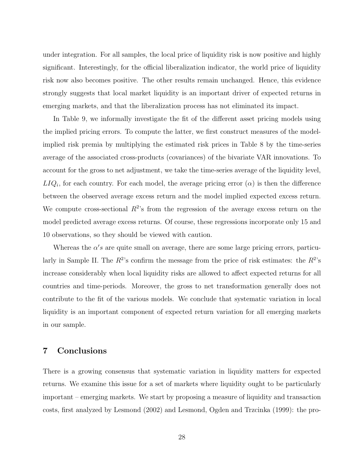under integration. For all samples, the local price of liquidity risk is now positive and highly significant. Interestingly, for the official liberalization indicator, the world price of liquidity risk now also becomes positive. The other results remain unchanged. Hence, this evidence strongly suggests that local market liquidity is an important driver of expected returns in emerging markets, and that the liberalization process has not eliminated its impact.

In Table 9, we informally investigate the fit of the different asset pricing models using the implied pricing errors. To compute the latter, we first construct measures of the modelimplied risk premia by multiplying the estimated risk prices in Table 8 by the time-series average of the associated cross-products (covariances) of the bivariate VAR innovations. To account for the gross to net adjustment, we take the time-series average of the liquidity level,  $LIQ_i$ , for each country. For each model, the average pricing error  $(\alpha)$  is then the difference between the observed average excess return and the model implied expected excess return. We compute cross-sectional  $R^2$ 's from the regression of the average excess return on the model predicted average excess returns. Of course, these regressions incorporate only 15 and 10 observations, so they should be viewed with caution.

Whereas the  $\alpha'$ s are quite small on average, there are some large pricing errors, particularly in Sample II. The  $R^2$ 's confirm the message from the price of risk estimates: the  $R^2$ 's increase considerably when local liquidity risks are allowed to affect expected returns for all countries and time-periods. Moreover, the gross to net transformation generally does not contribute to the fit of the various models. We conclude that systematic variation in local liquidity is an important component of expected return variation for all emerging markets in our sample.

#### **7 Conclusions**

There is a growing consensus that systematic variation in liquidity matters for expected returns. We examine this issue for a set of markets where liquidity ought to be particularly important – emerging markets. We start by proposing a measure of liquidity and transaction costs, first analyzed by Lesmond (2002) and Lesmond, Ogden and Trzcinka (1999): the pro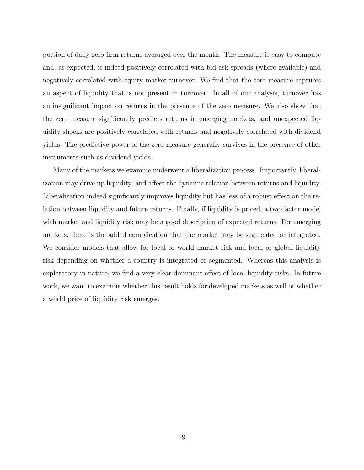portion of daily zero firm returns averaged over the month. The measure is easy to compute and, as expected, is indeed positively correlated with bid-ask spreads (where available) and negatively correlated with equity market turnover. We find that the zero measure captures an aspect of liquidity that is not present in turnover. In all of our analysis, turnover has an insignificant impact on returns in the presence of the zero measure. We also show that the zero measure significantly predicts returns in emerging markets, and unexpected liquidity shocks are positively correlated with returns and negatively correlated with dividend yields. The predictive power of the zero measure generally survives in the presence of other instruments such as dividend yields.

Many of the markets we examine underwent a liberalization process. Importantly, liberalization may drive up liquidity, and affect the dynamic relation between returns and liquidity. Liberalization indeed significantly improves liquidity but has less of a robust effect on the relation between liquidity and future returns. Finally, if liquidity is priced, a two-factor model with market and liquidity risk may be a good description of expected returns. For emerging markets, there is the added complication that the market may be segmented or integrated. We consider models that allow for local or world market risk and local or global liquidity risk depending on whether a country is integrated or segmented. Whereas this analysis is exploratory in nature, we find a very clear dominant effect of local liquidity risks. In future work, we want to examine whether this result holds for developed markets as well or whether a world price of liquidity risk emerges.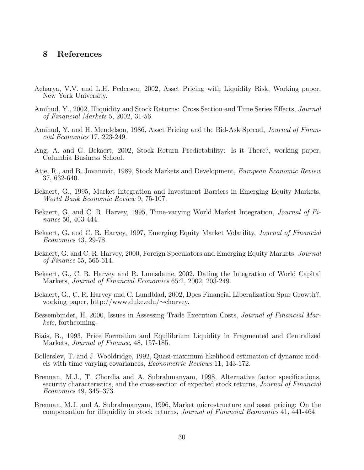#### **8 References**

- Acharya, V.V. and L.H. Pedersen, 2002, Asset Pricing with Liquidity Risk, Working paper, New York University.
- Amihud, Y., 2002, Illiquidity and Stock Returns: Cross Section and Time Series Effects, *Journal of Financial Markets* 5, 2002, 31-56.
- Amihud, Y. and H. Mendelson, 1986, Asset Pricing and the Bid-Ask Spread, *Journal of Financial Economics* 17, 223-249.
- Ang, A. and G. Bekaert, 2002, Stock Return Predictability: Is it There?, working paper, Columbia Business School.
- Atje, R., and B. Jovanovic, 1989, Stock Markets and Development, *European Economic Review* 37, 632-640.
- Bekaert, G., 1995, Market Integration and Investment Barriers in Emerging Equity Markets, *World Bank Economic Review* 9, 75-107.
- Bekaert, G. and C. R. Harvey, 1995, Time-varying World Market Integration, *Journal of Finance* 50, 403-444.
- Bekaert, G. and C. R. Harvey, 1997, Emerging Equity Market Volatility, *Journal of Financial Economics* 43, 29-78.
- Bekaert, G. and C. R. Harvey, 2000, Foreign Speculators and Emerging Equity Markets, *Journal of Finance* 55, 565-614.
- Bekaert, G., C. R. Harvey and R. Lumsdaine, 2002, Dating the Integration of World Capital Markets, *Journal of Financial Economics* 65:2, 2002, 203-249.
- Bekaert, G., C. R. Harvey and C. Lundblad, 2002, Does Financial Liberalization Spur Growth?, working paper, http://www.duke.edu/∼charvey.
- Bessembinder, H. 2000, Issues in Assessing Trade Execution Costs, *Journal of Financial Markets*, forthcoming.
- Biais, B., 1993, Price Formation and Equilibrium Liquidity in Fragmented and Centralized Markets, *Journal of Finance*, 48, 157-185.
- Bollerslev, T. and J. Wooldridge, 1992, Quasi-maximum likelihood estimation of dynamic models with time varying covariances, *Econometric Reviews* 11, 143-172.
- Brennan, M.J., T. Chordia and A. Subrahmanyam, 1998, Alternative factor specifications, security characteristics, and the cross-section of expected stock returns, *Journal of Financial Economics* 49, 345–373.
- Brennan, M.J. and A. Subrahmanyam, 1996, Market microstructure and asset pricing: On the compensation for illiquidity in stock returns, *Journal of Financial Economics* 41, 441-464.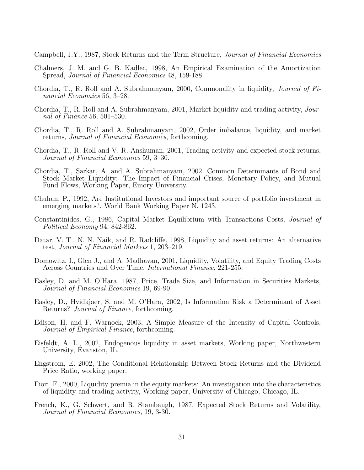Campbell, J.Y., 1987, Stock Returns and the Term Structure, *Journal of Financial Economics*

- Chalmers, J. M. and G. B. Kadlec, 1998, An Empirical Examination of the Amortization Spread, *Journal of Financial Economics* 48, 159-188.
- Chordia, T., R. Roll and A. Subrahmanyam, 2000, Commonality in liquidity, *Journal of Financial Economics* 56, 3–28.
- Chordia, T., R. Roll and A. Subrahmanyam, 2001, Market liquidity and trading activity, *Journal of Finance* 56, 501–530.
- Chordia, T., R. Roll and A. Subrahmanyam, 2002, Order imbalance, liquidity, and market returns, *Journal of Financial Economics*, forthcoming.
- Chordia, T., R. Roll and V. R. Anshuman, 2001, Trading activity and expected stock returns, *Journal of Financial Economics* 59, 3–30.
- Chordia, T., Sarkar, A. and A. Subrahmanyam, 2002, Common Determinants of Bond and Stock Market Liquidity: The Impact of Financial Crises, Monetary Policy, and Mutual Fund Flows, Working Paper, Emory University.
- Chuhan, P., 1992, Are Institutional Investors and important source of portfolio investment in emerging markets?, World Bank Working Paper N. 1243.
- Constantinides, G., 1986, Capital Market Equilibrium with Transactions Costs, *Journal of Political Economy* 94, 842-862.
- Datar, V. T., N. N. Naik, and R. Radcliffe, 1998, Liquidity and asset returns: An alternative test, *Journal of Financial Markets* 1, 203–219.
- Domowitz, I., Glen J., and A. Madhavan, 2001, Liquidity, Volatility, and Equity Trading Costs Across Countries and Over Time, *International Finance*, 221-255.
- Easley, D. and M. O'Hara, 1987, Price, Trade Size, and Information in Securities Markets, *Journal of Financial Economics* 19, 69-90.
- Easley, D., Hvidkjaer, S. and M. O'Hara, 2002, Is Information Risk a Determinant of Asset Returns? *Journal of Finance*, forthcoming.
- Edison, H. and F. Warnock, 2003, A Simple Measure of the Intensity of Capital Controls, *Journal of Empirical Finance*, forthcoming.
- Eisfeldt, A. L., 2002, Endogenous liquidity in asset markets, Working paper, Northwestern University, Evanston, IL.
- Engstrom, E. 2002, The Conditional Relationship Between Stock Returns and the Dividend Price Ratio, working paper.
- Fiori, F., 2000, Liquidity premia in the equity markets: An investigation into the characteristics of liquidity and trading activity, Working paper, University of Chicago, Chicago, IL.
- French, K., G. Schwert, and R. Stambaugh, 1987, Expected Stock Returns and Volatility, *Journal of Financial Economics*, 19, 3-30.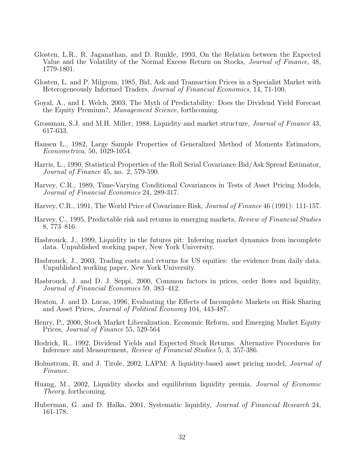- Glosten, L.R., R. Jaganathan, and D. Runkle, 1993, On the Relation between the Expected Value and the Volatility of the Normal Excess Return on Stocks, *Journal of Finance*, 48, 1779-1801.
- Glosten, L. and P. Milgrom, 1985, Bid, Ask and Transaction Prices in a Specialist Market with Heterogeneously Informed Traders, *Journal of Financial Economics*, 14, 71-100.
- Goyal, A., and I. Welch, 2003, The Myth of Predictability: Does the Dividend Yield Forecast the Equity Premium?, *Management Science*, forthcoming.
- Grossman, S.J. and M.H. Miller, 1988, Liquidity and market structure, *Journal of Finance* 43, 617-633.
- Hansen L., 1982, Large Sample Properties of Generalized Method of Moments Estimators, *Econometrica*, 50, 1029-1054.
- Harris, L., 1990, Statistical Properties of the Roll Serial Covariance Bid/Ask Spread Estimator, *Journal of Finance* 45, no. 2, 579-590.
- Harvey, C.R., 1989, Time-Varying Conditional Covariances in Tests of Asset Pricing Models, *Journal of Financial Economics* 24, 289-317.
- Harvey, C.R., 1991, The World Price of Covariance Risk, *Journal of Finance* 46 (1991): 111-157.
- Harvey, C., 1995, Predictable risk and returns in emerging markets, *Review of Financial Studies* 8, 773–816.
- Hasbrouck, J., 1999, Liquidity in the futures pit: Inferring market dynamics from incomplete data. Unpublished working paper, New York University.
- Hasbrouck, J., 2003, Trading costs and returns for US equities: the evidence from daily data. Unpublished working paper, New York University.
- Hasbrouck, J. and D. J. Seppi, 2000, Common factors in prices, order flows and liquidity, *Journal of Financial Economics* 59, 383–412.
- Heaton, J. and D. Lucas, 1996, Evaluating the Effects of Incomplete Markets on Risk Sharing and Asset Prices, *Journal of Political Economy* 104, 443-487.
- Henry, P., 2000, Stock Market Liberalization, Economic Reform, and Emerging Market Equity Prices, *Journal of Finance* 55, 529-564
- Hodrick, R., 1992, Dividend Yields and Expected Stock Returns: Alternative Procedures for Inference and Measurement, *Review of Financial Studies* 5, 3, 357-386.
- Holmstrom, B. and J. Tirole, 2002, LAPM: A liquidity-based asset pricing model, *Journal of Finance*.
- Huang, M., 2002, Liquidity shocks and equilibrium liquidity premia, *Journal of Economic Theory*, forthcoming.
- Huberman, G. and D. Halka, 2001, Systematic liquidity, *Journal of Financial Research* 24, 161-178.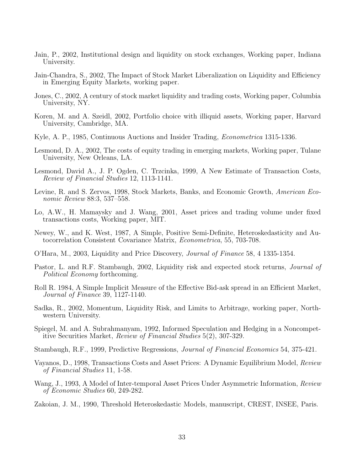- Jain, P., 2002, Institutional design and liquidity on stock exchanges, Working paper, Indiana University.
- Jain-Chandra, S., 2002, The Impact of Stock Market Liberalization on Liquidity and Efficiency in Emerging Equity Markets, working paper.
- Jones, C., 2002, A century of stock market liquidity and trading costs, Working paper, Columbia University, NY.
- Koren, M. and A. Szeidl, 2002, Portfolio choice with illiquid assets, Working paper, Harvard University, Cambridge, MA.
- Kyle, A. P., 1985, Continuous Auctions and Insider Trading, *Econometrica* 1315-1336.
- Lesmond, D. A., 2002, The costs of equity trading in emerging markets, Working paper, Tulane University, New Orleans, LA.
- Lesmond, David A., J. P. Ogden, C. Trzcinka, 1999, A New Estimate of Transaction Costs, *Review of Financial Studies* 12, 1113-1141.
- Levine, R. and S. Zervos, 1998, Stock Markets, Banks, and Economic Growth, *American Economic Review* 88:3, 537–558.
- Lo, A.W., H. Mamaysky and J. Wang, 2001, Asset prices and trading volume under fixed transactions costs, Working paper, MIT.
- Newey, W., and K. West, 1987, A Simple, Positive Semi-Definite, Heteroskedasticity and Autocorrelation Consistent Covariance Matrix, *Econometrica*, 55, 703-708.
- O'Hara, M., 2003, Liquidity and Price Discovery, *Journal of Finance* 58, 4 1335-1354.
- Pastor, L. and R.F. Stambaugh, 2002, Liquidity risk and expected stock returns, *Journal of Political Economy* forthcoming.
- Roll R. 1984, A Simple Implicit Measure of the Effective Bid-ask spread in an Efficient Market, *Journal of Finance* 39, 1127-1140.
- Sadka, R., 2002, Momentum, Liquidity Risk, and Limits to Arbitrage, working paper, Northwestern University.
- Spiegel, M. and A. Subrahmanyam, 1992, Informed Speculation and Hedging in a Noncompetitive Securities Market, *Review of Financial Studies* 5(2), 307-329.
- Stambaugh, R.F., 1999, Predictive Regressions, *Journal of Financial Economics* 54, 375-421.
- Vayanos, D., 1998, Transactions Costs and Asset Prices: A Dynamic Equilibrium Model, *Review of Financial Studies* 11, 1-58.
- Wang, J., 1993, A Model of Inter-temporal Asset Prices Under Asymmetric Information, *Review of Economic Studies* 60, 249-282.
- Zakoian, J. M., 1990, Threshold Heteroskedastic Models, manuscript, CREST, INSEE, Paris.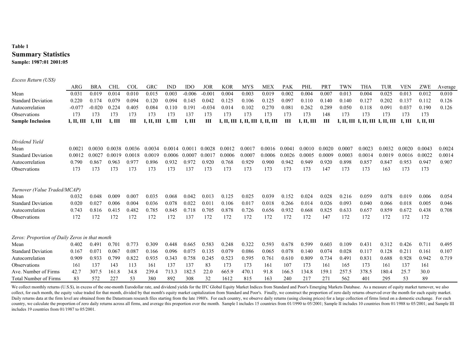#### **Table 1 Summary Statistics Sample: 1987:01 2001:05**

| Excess Return (US\$)                           |            |             |             |            |            |             |            |            |            |            |                       |            |            |                 |            |            |            |            |                |         |
|------------------------------------------------|------------|-------------|-------------|------------|------------|-------------|------------|------------|------------|------------|-----------------------|------------|------------|-----------------|------------|------------|------------|------------|----------------|---------|
|                                                | ARG        | <b>BRA</b>  | <b>CHL</b>  | <b>COL</b> | <b>GRC</b> | <b>IND</b>  | <b>IDO</b> | <b>JOR</b> | <b>KOR</b> | <b>MYS</b> | <b>MEX</b>            | <b>PAK</b> | PHL        | PR <sub>1</sub> | TWN        | <b>THA</b> | <b>TUR</b> | <b>VEN</b> | ZWE            | Average |
| Mean                                           | 0.031      | 0.019       | 0.014       | 0.010      | 0.015      | 0.003       | $-0.006$   | $-0.00$    | 0.004      | 0.003      | 0.019                 | 0.002      | 0.004      | 0.007           | 0.013      | 0.004      | 0.025      | 0.013      | 0.012          | 0.010   |
| <b>Standard Deviation</b>                      | 0.220      | 0.174       | 0.079       | 0.094      | 0.120      | 0.094       | 0.145      | 0.042      | 0.125      | 0.106      | 0.125                 | 0.097      | 0.110      | 0.140           | 0.140      | 0.127      | 0.202      | 0.137      | 0.112          | 0.126   |
| Autocorrelation                                | $-0.077$   | $-0.020$    | 0.224       | 0.405      | 0.084      | 0.110       | 0.191      | $-0.034$   | 0.014      | 0.102      | 0.270                 | 0.081      | 0.262      | 0.289           | 0.050      | 0.118      | 0.091      | 0.037      | 0.190          | 0.126   |
| Observations                                   | 173        | 173         | 173         | 173        | 173        | 173         | 137        | 173        | 173        | 173        | 173                   | 173        | 173        | 148             | 173        | 173        | 173        | 173        | 173            |         |
| <b>Sample Inclusion</b>                        | I, II, III | <b>І, Ш</b> | <b>І, Ш</b> | Ш          | I, II, III | <b>І, Ш</b> | I, III     | Ш          | I, II, III |            | I, II, III I, II, III | Ш          | I, II, III | Ш               | I, II, III | I, II, III | I, II, III | <b>І.Ш</b> | <b>І. П. Ш</b> |         |
| Dividend Yield                                 |            |             |             |            |            |             |            |            |            |            |                       |            |            |                 |            |            |            |            |                |         |
| Mean                                           | 0.002      | 0.0030      | 0.0038      | 0.0036     | 0.0034     | 0.0014      | 0.0011     | 0.0028     | 0.0012     | 0.0017     | 0.0016                | 0.0041     | 0.0010     | 0.0020          | 0.0007     | 0.0023     | 0.0032     | 0.0020     | 0.0043         | 0.0024  |
| <b>Standard Deviation</b>                      | 0.0012     | 0.0027      | 0.0019      | 0.0018     | 0.0019     | 0.0006      | 0.0007     | 0.0017     | 0.0006     | 0.0007     | 0.0006                | 0.0026     | 0.0005     | 0.0009          | 0.0003     | 0.0014     | 0.0019     | 0.0016     | 0.0022         | 0.0014  |
| Autocorrelation                                | 0.790      | 0.867       | 0.963       | 0.977      | 0.896      | 0.932       | 0.972      | 0.920      | 0.768      | 0.929      | 0.900                 | 0.942      | 0.949      | 0.920           | 0.898      | 0.857      | 0.847      | 0.953      | 0.947          | 0.907   |
| Observations                                   | 173        | 173         | 173         | 173        | 173        | 173         | 137        | 173        | 173        | 173        | 173                   | 173        | 173        | 147             | 173        | 173        | 163        | 173        | 173            |         |
| Turnover (Value Traded/MCAP)                   |            |             |             |            |            |             |            |            |            |            |                       |            |            |                 |            |            |            |            |                |         |
| Mean                                           | 0.032      | 0.048       | 0.009       | 0.007      | 0.035      | 0.068       | 0.042      | 0.013      | 0.125      | 0.025      | 0.039                 | 0.152      | 0.024      | 0.028           | 0.216      | 0.059      | 0.078      | 0.019      | 0.006          | 0.054   |
| <b>Standard Deviation</b>                      | 0.020      | 0.027       | 0.006       | 0.004      | 0.036      | 0.078       | 0.022      | 0.011      | 0.106      | 0.017      | 0.018                 | 0.266      | 0.014      | 0.026           | 0.093      | 0.040      | 0.066      | 0.018      | 0.005          | 0.046   |
| Autocorrelation                                | 0.743      | 0.816       | 0.415       | 0.482      | 0.785      | 0.845       | 0.718      | 0.705      | 0.878      | 0.726      | 0.656                 | 0.932      | 0.668      | 0.825           | 0.633      | 0.657      | 0.859      | 0.672      | 0.438          | 0.708   |
| Observations                                   | 172        | 172         | 172         | 172        | 172        | 172         | 137        | 172        | 172        | 172        | 172                   | 172        | 172        | 147             | 172        | 172        | 172        | 172        | 172            |         |
| Zeros: Proportion of Daily Zeros in that month |            |             |             |            |            |             |            |            |            |            |                       |            |            |                 |            |            |            |            |                |         |
| Mean                                           | 0.402      | 0.491       | 0.701       | 0.773      | 0.309      | 0.448       | 0.665      | 0.583      | 0.248      | 0.322      | 0.593                 | 0.678      | 0.599      | 0.603           | 0.109      | 0.431      | 0.312      | 0.426      | 0.711          | 0.495   |
| <b>Standard Deviation</b>                      | 0.167      | 0.071       | 0.067       | 0.087      | 0.166      | 0.096       | 0.075      | 0.135      | 0.079      | 0.086      | 0.065                 | 0.078      | 0.140      | 0.074           | 0.028      | 0.117      | 0.128      | 0.211      | 0.161          | 0.107   |
| Autocorrelation                                | 0.909      | 0.933       | 0.799       | 0.822      | 0.935      | 0.343       | 0.758      | 0.245      | 0.523      | 0.595      | 0.761                 | 0.610      | 0.809      | 0.734           | 0.491      | 0.831      | 0.688      | 0.928      | 0.942          | 0.719   |
| Observations                                   | 161        | 137         | 143         | 113        | 161        | 137         | 137        | 83         | 173        | 173        | 161                   | 107        | 173        | 161             | 165        | 173        | 161        | 137        | 161            |         |
| Ave. Number of Firms                           | 42.7       | 307.5       | 161.8       | 34.8       | 239.4      | 713.3       | 182.5      | 22.0       | 665.9      | 470.1      | 91.8                  | 166.5      | 134.8      | 159.1           | 257.5      | 378.5      | 180.4      | 25.7       | 30.0           |         |
| <b>Total Number of Firms</b>                   | 83         | 572         | 227         | 53         | 380        | 892         | 308        | 32         | 1612       | 815        | 163                   | 240        | 217        | 271             | 562        | 401        | 295        | 53         | 89             |         |

We collect monthly returns (U.S.\$), in excess of the one-month Eurodollar rate, and dividend yields for the IFC Global Equity Market Indices from Standard and Poor's Emerging Markets Database. As a measure of equity market collect, for each month, the equity value traded for that month, divided by that month's equity market capitalization from Standard and Poor's. Finally, we construct the proportion of zero daily returns observed over the m Daily returns data at the firm level are obtained from the Datastream research files starting from the late 1980's. For each country, we observe daily returns (using closing prices) for a large collection of firms listed o country, we calculate the proportion of zero daily returns across all firms, and average this proportion over the month. Sample I includes 15 countries from 01/1990 to 05/2001; Sample II includes 10 countries from 01/1988 includes 19 countries from 01/1987 to 05/2001.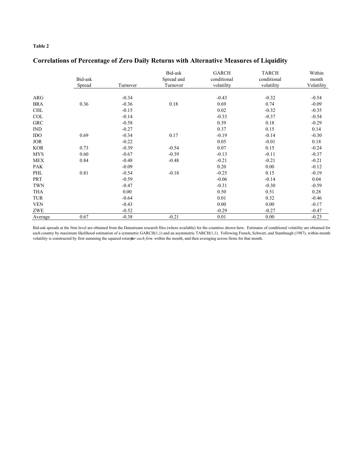#### **Table 2**

### **Correlations of Percentage of Zero Daily Returns with Alternative Measures of Liquidity**

|            | Bid-ask<br>Spread | Turnover | Bid-ask<br>Spread and<br>Turnover | <b>GARCH</b><br>conditional<br>volatility | <b>TARCH</b><br>conditional<br>volatility | Within<br>month<br>Volatility |
|------------|-------------------|----------|-----------------------------------|-------------------------------------------|-------------------------------------------|-------------------------------|
|            |                   |          |                                   |                                           |                                           |                               |
| ARG        |                   | $-0.34$  |                                   | $-0.43$                                   | $-0.32$                                   | $-0.54$                       |
| <b>BRA</b> | 0.36              | $-0.36$  | 0.18                              | 0.69                                      | 0.74                                      | $-0.09$                       |
| <b>CHL</b> |                   | $-0.15$  |                                   | 0.02                                      | $-0.32$                                   | $-0.35$                       |
| COL        |                   | $-0.14$  |                                   | $-0.33$                                   | $-0.37$                                   | $-0.54$                       |
| <b>GRC</b> |                   | $-0.58$  |                                   | 0.39                                      | 0.18                                      | $-0.29$                       |
| IND        |                   | $-0.27$  |                                   | 0.37                                      | 0.15                                      | 0.14                          |
| IDO        | 0.69              | $-0.34$  | 0.17                              | $-0.19$                                   | $-0.14$                                   | $-0.30$                       |
| <b>JOR</b> |                   | $-0.22$  |                                   | 0.05                                      | $-0.01$                                   | 0.18                          |
| <b>KOR</b> | 0.73              | $-0.39$  | $-0.54$                           | 0.07                                      | 0.15                                      | $-0.24$                       |
| <b>MYS</b> | 0.60              | $-0.67$  | $-0.39$                           | $-0.13$                                   | $-0.11$                                   | $-0.37$                       |
| <b>MEX</b> | 0.84              | $-0.48$  | $-0.48$                           | $-0.21$                                   | $-0.21$                                   | $-0.21$                       |
| <b>PAK</b> |                   | $-0.09$  |                                   | 0.20                                      | 0.00                                      | $-0.12$                       |
| PHL        | 0.81              | $-0.54$  | $-0.18$                           | $-0.25$                                   | 0.15                                      | $-0.19$                       |
| PRT        |                   | $-0.59$  |                                   | $-0.06$                                   | $-0.14$                                   | 0.04                          |
| <b>TWN</b> |                   | $-0.47$  |                                   | $-0.31$                                   | $-0.30$                                   | $-0.59$                       |
| THA        |                   | 0.00     |                                   | 0.50                                      | 0.51                                      | 0.28                          |
| TUR        |                   | $-0.64$  |                                   | 0.01                                      | 0.32                                      | $-0.46$                       |
| <b>VEN</b> |                   | $-0.43$  |                                   | 0.00                                      | 0.00                                      | $-0.17$                       |
| ZWE        |                   | $-0.52$  |                                   | $-0.29$                                   | $-0.27$                                   | $-0.47$                       |
| Average    | 0.67              | $-0.38$  | $-0.21$                           | 0.01                                      | 0.00                                      | $-0.23$                       |

Bid-ask spreads at the firm level are obtained from the Datastream research files (where available) for the countries shown here. Estimates of conditional volatility are obtained for each country by maximum likelihood estimation of a symmetric GARCH(1,1) and an asymmetric TARCH(1,1). Following French, Schwert, and Stambaugh (1987), within-month volatility is constructed by first summing the squared returnsor each firm within the month, and then averaging across firms for that month.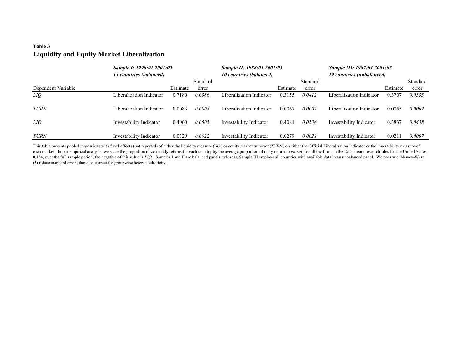#### **Table 3 Liquidity and Equity Market Liberalization**

|                    | Sample I: 1990:01 2001:05<br>15 countries (balanced) |          | Sample II: 1988:01 2001:05<br><b>10 countries (balanced)</b> |                          |          |          | Sample III: 1987:01 2001:05<br>19 countries (unbalanced) |          |          |
|--------------------|------------------------------------------------------|----------|--------------------------------------------------------------|--------------------------|----------|----------|----------------------------------------------------------|----------|----------|
|                    |                                                      |          | Standard                                                     |                          |          | Standard |                                                          |          | Standard |
| Dependent Variable |                                                      | Estimate | error                                                        |                          | Estimate | error    |                                                          | Estimate | error    |
| LIQ                | Liberalization Indicator                             | 0.7180   | 0.0386                                                       | Liberalization Indicator | 0.3155   | 0.0412   | Liberalization Indicator                                 | 0.3707   | 0.0333   |
| <b>TURN</b>        | Liberalization Indicator                             | 0.0083   | 0.0003                                                       | Liberalization Indicator | 0.0067   | 0.0002   | Liberalization Indicator                                 | 0.0055   | 0.0002   |
| LIQ                | Investability Indicator                              | 0.4060   | 0.0505                                                       | Investability Indicator  | 0.4081   | 0.0536   | Investability Indicator                                  | 0.3837   | 0.0438   |
| TURN               | Investability Indicator                              | 0.0329   | 0.0022                                                       | Investability Indicator  | 0.0279   | 0.0021   | Investability Indicator                                  | 0.0211   | 0.0007   |

This table presents pooled regressions with fixed effects (not reported) of either the liquidity measure (*LIQ*) or equity market turnover (*TURN*) on either the Official Liberalization indicator or the investability measu each market. In our empirical analysis, we scale the proportion of zero daily returns for each country by the average proportion of daily returns observed for all the firms in the Datastream research files for the United S 0.154, over the full sample period; the negative of this value is LIQ. Samples I and II are balanced panels, whereas, Sample III employs all countries with available data in an unbalanced panel. We construct Newey-West (5) robust standard errors that also correct for groupwise heteroskedasticity.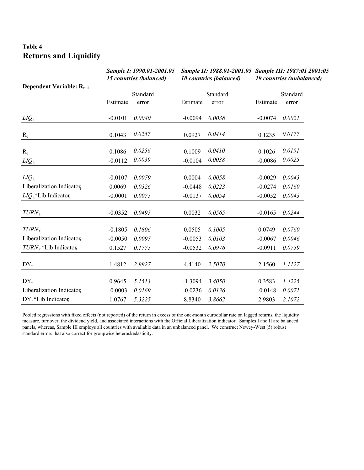## **Table 4 Returns and Liquidity**

|                                      |           | Sample I: 1990.01-2001.05<br>15 countries (balanced) |           | <b>10 countries (balanced)</b> | Sample II: 1988.01-2001.05 Sample III: 1987:01 2001:05<br><b>19 countries (unbalanced)</b> |                   |  |
|--------------------------------------|-----------|------------------------------------------------------|-----------|--------------------------------|--------------------------------------------------------------------------------------------|-------------------|--|
| Dependent Variable: $R_{t+1}$        | Estimate  | Standard<br>error                                    | Estimate  | Standard<br>error              | Estimate                                                                                   | Standard<br>error |  |
| $LIQ_t$                              | $-0.0101$ | 0.0040                                               | $-0.0094$ | 0.0038                         | $-0.0074$                                                                                  | 0.0021            |  |
| $R_t$                                | 0.1043    | 0.0257                                               | 0.0927    | 0.0414                         | 0.1235                                                                                     | 0.0177            |  |
| $R_t$                                | 0.1086    | 0.0256                                               | 0.1009    | 0.0410                         | 0.1026                                                                                     | 0.0191            |  |
| $LIQ_t$                              | $-0.0112$ | 0.0039                                               | $-0.0104$ | 0.0038                         | $-0.0086$                                                                                  | 0.0025            |  |
| $LIQ_t$                              | $-0.0107$ | 0.0079                                               | 0.0004    | 0.0058                         | $-0.0029$                                                                                  | 0.0043            |  |
| Liberalization Indicator             | 0.0069    | 0.0326                                               | $-0.0448$ | 0.0223                         | $-0.0274$                                                                                  | 0.0160            |  |
| $LIO_1^*$ Lib Indicator <sub>t</sub> | $-0.0001$ | 0.0075                                               | $-0.0137$ | 0.0054                         | $-0.0052$                                                                                  | 0.0043            |  |
| $TURN_t$                             | $-0.0352$ | 0.0495                                               | 0.0032    | 0.0565                         | $-0.0165$                                                                                  | 0.0244            |  |
| $TURN_t$                             | $-0.1805$ | 0.1806                                               | 0.0505    | 0.1005                         | 0.0749                                                                                     | 0.0760            |  |
| Liberalization Indicator             | $-0.0050$ | 0.0097                                               | $-0.0053$ | 0.0103                         | $-0.0067$                                                                                  | 0.0046            |  |
| $TURN_t * Lib Indicator_t$           | 0.1527    | 0.1775                                               | $-0.0532$ | 0.0976                         | $-0.0911$                                                                                  | 0.0759            |  |
| $DY_t$                               | 1.4812    | 2.9927                                               | 4.4140    | 2.5070                         | 2.1560                                                                                     | 1.1127            |  |
| $DY_t$                               | 0.9645    | 5.1513                                               | $-1.3094$ | 3.4050                         | 0.3583                                                                                     | 1.4225            |  |
| Liberalization Indicator             | $-0.0003$ | 0.0169                                               | $-0.0236$ | 0.0136                         | $-0.0148$                                                                                  | 0.0071            |  |
| $DY_t^*$ Lib Indicator <sub>t</sub>  | 1.0767    | 5.3225                                               | 8.8340    | 3.8662                         | 2.9803                                                                                     | 2.1072            |  |

Pooled regressions with fixed effects (not reported) of the return in excess of the one-month eurodollar rate on lagged returns, the liquidity measure, turnover, the dividend yield, and associated interactions with the Official Liberalization indicator. Samples I and II are balanced panels, whereas, Sample III employs all countries with available data in an unbalanced panel. We construct Newey-West (5) robust standard errors that also correct for groupwise heteroskedasticity.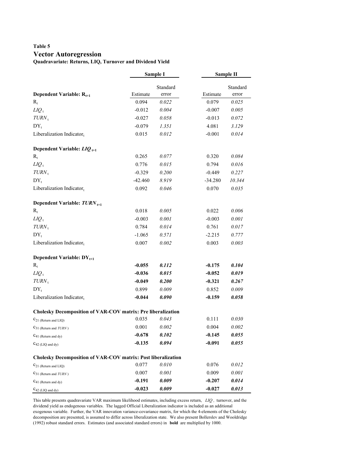#### **Table 5 Vector Autoregression Quadravariate: Returns, LIQ, Turnover and Dividend Yield**

|                                                               |           | Sample I          |           | Sample II         |
|---------------------------------------------------------------|-----------|-------------------|-----------|-------------------|
| Dependent Variable: $R_{t+1}$                                 | Estimate  | Standard<br>error | Estimate  | Standard<br>error |
| $R_{t}$                                                       | 0.094     | 0.022             | 0.079     | 0.025             |
| $LIQ_t$                                                       | $-0.012$  | 0.004             | $-0.007$  | 0.005             |
| $TURN_t$                                                      | $-0.027$  | 0.058             | $-0.013$  | 0.072             |
| $DY_{t}$                                                      | $-0.079$  | 1.351             | 4.081     | 3.129             |
| Liberalization Indicatort                                     | 0.015     | 0.012             | $-0.001$  | 0.014             |
| Dependent Variable: $LIQ_{t+1}$                               |           |                   |           |                   |
| $R_t$                                                         | 0.265     | 0.077             | 0.320     | 0.084             |
| $LIQ_t$                                                       | 0.776     | 0.015             | 0.794     | 0.016             |
| $TURN_t$                                                      | $-0.329$  | 0.200             | $-0.449$  | 0.227             |
| $DY_{t}$                                                      | $-42.460$ | 8.919             | $-34.280$ | 10.344            |
| Liberalization Indicator <sub>t</sub>                         | 0.092     | 0.046             | 0.070     | 0.035             |
| Dependent Variable: $TURN_{t+1}$                              |           |                   |           |                   |
| $R_t$                                                         | 0.018     | 0.005             | 0.022     | 0.006             |
| $LIQ_t$                                                       | $-0.003$  | 0.001             | $-0.003$  | 0.001             |
| $TURN_{\,\rm t}$                                              | 0.784     | 0.014             | 0.761     | $0.017\,$         |
| $DY_t$                                                        | $-1.065$  | 0.571             | $-2.215$  | 0.777             |
| Liberalization Indicatort                                     | 0.007     | 0.002             | 0.003     | 0.003             |
| Dependent Variable: $DY_{t+1}$                                |           |                   |           |                   |
| $R_{t}$                                                       | $-0.055$  | 0.112             | $-0.175$  | 0.104             |
| $LIQ_t$                                                       | $-0.036$  | 0.015             | $-0.052$  | 0.019             |
| $TURN_t$                                                      | $-0.049$  | 0.200             | $-0.321$  | 0.267             |
| $DY_{t}$                                                      | 0.899     | 0.009             | 0.852     | 0.009             |
| Liberalization Indicator <sub>t</sub>                         | -0.044    | 0.090             | $-0.159$  | 0.058             |
| Cholesky Decomposition of VAR-COV matrix: Pre liberalization  |           |                   |           |                   |
| $C_{21}$ (Return and LIQ)                                     | 0.035     | 0.043             | 0.111     | 0.030             |
| $C_{31}$ (Return and <i>TURN</i> )                            | 0.001     | 0.002             | 0.004     | 0.002             |
| $C_{41}$ (Return and dy)                                      | $-0.678$  | 0.102             | $-0.145$  | 0.055             |
| $C_{42}$ (LIQ and dy)                                         | $-0.135$  | 0.094             | $-0.091$  | 0.055             |
| Cholesky Decomposition of VAR-COV matrix: Post liberalization |           |                   |           |                   |
| $C_{21}$ (Return and LIO)                                     | 0.077     | 0.010             | 0.076     | 0.012             |
| $C_{31}$ (Return and $TURN$ )                                 | 0.007     | 0.001             | 0.009     | 0.001             |
| $C_{41}$ (Return and dy)                                      | $-0.191$  | 0.009             | $-0.207$  | 0.014             |
| $C_{42}$ (LIQ and dy)                                         | $-0.023$  | 0.009             | $-0.027$  | 0.013             |

This table presents quadravariate VAR maximum likelihood estimates, including excess return, *LIQ ,* turnover, and the dividend yield as endogenous variables. The lagged Official Liberalization indicator is included as an additional exogenous variable. Further, the VAR innovation variance-covariance matrix, for which the 4-elements of the Cholesky decomposition are presented, is assumed to differ across liberalization state. We also present Bollerslev and Wooldridge (1992) robust standard errors. Estimates (and associated standard errors) in **bold** are multiplied by 1000.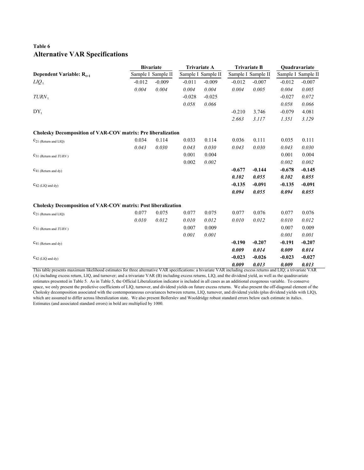#### **Table 6 Alternative VAR Specifications**

|                                                                                                                                                               | <b>Bivariate</b> |                    |          | <b>Trivariate A</b> |          | <b>Trivariate B</b> | Quadravariate |                    |  |
|---------------------------------------------------------------------------------------------------------------------------------------------------------------|------------------|--------------------|----------|---------------------|----------|---------------------|---------------|--------------------|--|
| Dependent Variable: $R_{t+1}$                                                                                                                                 |                  | Sample I Sample II |          | Sample I Sample II  |          | Sample I Sample II  |               | Sample I Sample II |  |
| $LIQ_t$                                                                                                                                                       | $-0.012$         | $-0.009$           | $-0.011$ | $-0.009$            | $-0.012$ | $-0.007$            | $-0.012$      | $-0.007$           |  |
|                                                                                                                                                               | 0.004            | 0.004              | 0.004    | 0.004               | 0.004    | 0.005               | 0.004         | 0.005              |  |
| $TURN_{t}$                                                                                                                                                    |                  |                    | $-0.028$ | $-0.025$            |          |                     | $-0.027$      | 0.072              |  |
|                                                                                                                                                               |                  |                    | 0.058    | 0.066               |          |                     | 0.058         | 0.066              |  |
| $DY_{t}$                                                                                                                                                      |                  |                    |          |                     | $-0.210$ | 3.746               | $-0.079$      | 4.081              |  |
|                                                                                                                                                               |                  |                    |          |                     | 2.663    | 3.117               | 1.351         | 3.129              |  |
| <b>Cholesky Decomposition of VAR-COV matrix: Pre liberalization</b>                                                                                           |                  |                    |          |                     |          |                     |               |                    |  |
| $C_{21}$ (Return and LIO)                                                                                                                                     | 0.034            | 0.114              | 0.033    | 0.114               | 0.036    | 0.111               | 0.035         | 0.111              |  |
|                                                                                                                                                               | 0.043            | 0.030              | 0.043    | 0.030               | 0.043    | 0.030               | 0.043         | 0.030              |  |
| $C_{31}$ (Return and $TURN$ )                                                                                                                                 |                  |                    | 0.001    | 0.004               |          |                     | 0.001         | 0.004              |  |
|                                                                                                                                                               |                  |                    | 0.002    | 0.002               |          |                     | 0.002         | 0.002              |  |
| $C_{41}$ (Return and dy)                                                                                                                                      |                  |                    |          |                     | $-0.677$ | $-0.144$            | $-0.678$      | $-0.145$           |  |
|                                                                                                                                                               |                  |                    |          |                     | 0.102    | 0.055               | 0.102         | 0.055              |  |
| $C_{42}$ (LIQ and dy)                                                                                                                                         |                  |                    |          |                     | $-0.135$ | $-0.091$            | $-0.135$      | $-0.091$           |  |
|                                                                                                                                                               |                  |                    |          |                     | 0.094    | 0.055               | 0.094         | 0.055              |  |
| Cholesky Decomposition of VAR-COV matrix: Post liberalization                                                                                                 |                  |                    |          |                     |          |                     |               |                    |  |
| $C_{21}$ (Return and LIQ)                                                                                                                                     | 0.077            | 0.075              | 0.077    | 0.075               | 0.077    | 0.076               | 0.077         | 0.076              |  |
|                                                                                                                                                               | 0.010            | 0.012              | 0.010    | 0.012               | 0.010    | 0.012               | 0.010         | 0.012              |  |
| $C_{31}$ (Return and $TURN$ )                                                                                                                                 |                  |                    | 0.007    | 0.009               |          |                     | 0.007         | 0.009              |  |
|                                                                                                                                                               |                  |                    | 0.001    | 0.001               |          |                     | 0.001         | 0.001              |  |
| $C_{41}$ (Return and dy)                                                                                                                                      |                  |                    |          |                     | $-0.190$ | $-0.207$            | $-0.191$      | $-0.207$           |  |
|                                                                                                                                                               |                  |                    |          |                     | 0.009    | 0.014               | 0.009         | 0.014              |  |
| $C_{42}$ (LIQ and dy)                                                                                                                                         |                  |                    |          |                     | $-0.023$ | $-0.026$            | $-0.023$      | $-0.027$           |  |
| This table presents maximum likelihood estimates for three alternative VAR specifications: a bivariate VAR including excess returns and LIQ; a trivariate VAR |                  |                    |          |                     | 0.009    | 0.013               | 0.009         | 0.013              |  |

(A) including excess return, LIQ, and turnover; and a trivariate VAR (B) including excess returns, LIQ, and the dividend yield, as well as the quadravariate estimates presented in Table 5. As in Table 5, the Official Liberalization indicator is included in all cases as an additional exogenous variable. To conserve space, we only present the predictive coefficients of LIQ, turnover, and dividend yields on future excess returns. We also present the off-diagonal element of the Cholesky decomposition associated with the contemporaneous covariances between returns, LIQ, turnover, and dividend yields (plus dividend yields with LIQ), which are assumed to differ across liberalization state. We also present Bollerslev and Wooldridge robust standard errors below each estimate in italics. Estimates (and associated standard errors) in bold are multiplied by 1000.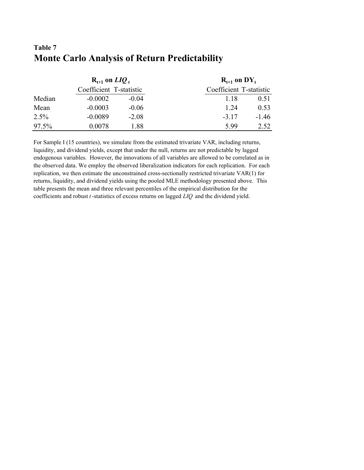|        | $R_{t+1}$ on $LIQ_t$    |         | $R_{t+1}$ on $DY_t$     |         |
|--------|-------------------------|---------|-------------------------|---------|
|        | Coefficient T-statistic |         | Coefficient T-statistic |         |
| Median | $-0.0002$               | $-0.04$ | 1 18                    | 0.51    |
| Mean   | $-0.0003$               | $-0.06$ | 1 24                    | 0.53    |
| 2.5%   | $-0.0089$               | $-2.08$ | $-3.17$                 | $-1.46$ |
| 97.5%  | 0.0078                  | 1.88    | 5.99                    | 2.52    |

# **Table 7 Monte Carlo Analysis of Return Predictability**

For Sample I (15 countries), we simulate from the estimated trivariate VAR, including returns, liquidity, and dividend yields, except that under the null, returns are not predictable by lagged endogenous variables. However, the innovations of all variables are allowed to be correlated as in the observed data. We employ the observed liberalization indicators for each replication. For each replication, we then estimate the unconstrained cross-sectionally restricted trivariate VAR(1) for returns, liquidity, and dividend yields using the pooled MLE methodology presented above. This table presents the mean and three relevant percentiles of the empirical distribution for the coefficients and robust *t* -statistics of excess returns on lagged *LIQ* and the dividend yield.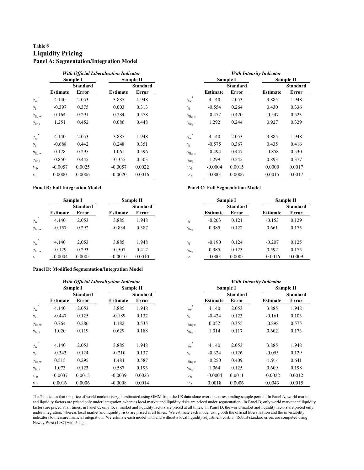#### **Table 8 Liquidity Pricing Panel A: Segmentation/Integration Model**

|                       | <b>With Official Liberalization Indicator</b> |                 |                 |                 |                            | <b>With Intensity Indicator</b> |                 |                 |           |  |
|-----------------------|-----------------------------------------------|-----------------|-----------------|-----------------|----------------------------|---------------------------------|-----------------|-----------------|-----------|--|
|                       |                                               | Sample I        |                 | Sample II       |                            |                                 | Sample I        |                 | Sample II |  |
|                       |                                               | <b>Standard</b> |                 | <b>Standard</b> |                            |                                 | <b>Standard</b> |                 | Standar   |  |
|                       | <b>Estimate</b>                               | Error           | <b>Estimate</b> | Error           |                            | Estimate                        | Error           | <b>Estimate</b> | Error     |  |
| *<br>$\gamma_{\rm w}$ | 4.140                                         | 2.053           | 3.885           | 1.948           | $\ast$<br>$\gamma_{\rm w}$ | 4.140                           | 2.053           | 3.885           | 1.948     |  |
| $\gamma_i$            | $-0.397$                                      | 0.375           | 0.003           | 0.313           | $\gamma_i$                 | $-0.554$                        | 0.264           | 0.430           | 0.336     |  |
| $\gamma_{liq,w}$      | 0.164                                         | 0.291           | 0.284           | 0.578           | $\gamma_{liq,w}$           | $-0.472$                        | 0.420           | $-0.547$        | 0.523     |  |
| $\gamma_{liq,i}$      | 1.251                                         | 0.452           | 0.086           | 0.448           | $\gamma_{liq,i}$           | 1.292                           | 0.244           | 0.927           | 0.329     |  |
| *<br>$\gamma_{\rm w}$ | 4.140                                         | 2.053           | 3.885           | 1.948           | $\ast$<br>$\gamma_{\rm w}$ | 4.140                           | 2.053           | 3.885           | 1.948     |  |
| $\gamma_i$            | $-0.688$                                      | 0.442           | 0.248           | 0.351           | $\gamma_i$                 | $-0.575$                        | 0.367           | 0.435           | 0.416     |  |
| $\gamma_{liq,w}$      | 0.178                                         | 0.295           | 1.061           | 0.596           | $\gamma_{liq,w}$           | $-0.494$                        | 0.447           | $-0.858$        | 0.530     |  |
| $\gamma_{liq,i}$      | 0.850                                         | 0.445           | $-0.355$        | 0.503           | $\gamma_{liq,i}$           | 1.299                           | 0.245           | 0.893           | 0.377     |  |
| $v_0$                 | $-0.0057$                                     | 0.0025          | $-0.0057$       | 0.0022          | $v_0$                      | $-0.0004$                       | 0.0015          | 0.0000          | 0.0017    |  |
| v <sub>I</sub>        | 0.0000                                        | 0.0006          | $-0.0020$       | 0.0016          | v <sub>j</sub>             | $-0.0001$                       | 0.0006          | 0.0015          | 0.0017    |  |

# **Estimate Standard Error Estimate Standard Error** \* 4.140 2.053 3.885 1.948  $\gamma_w^*$  4.140 2.053 3.885 1.948 **With Intensity Indicator Sample I Sample II**

#### **Panel B: Full Integration Model Panel C: Full Segmentation Model**

|                      |                 | Sample I        |                 | Sample II       |                  |                 | Sample I        |                 | Sample II |
|----------------------|-----------------|-----------------|-----------------|-----------------|------------------|-----------------|-----------------|-----------------|-----------|
|                      |                 | <b>Standard</b> |                 | <b>Standard</b> |                  |                 | <b>Standard</b> |                 | Standar   |
|                      | <b>Estimate</b> | Error           | <b>Estimate</b> | Error           |                  | <b>Estimate</b> | Error           | <b>Estimate</b> | Error     |
| $\gamma_{\rm w}$     | 4.140           | 2.053           | 3.885           | 1.948           | $\gamma_i$       | $-0.203$        | 0.121           | $-0.153$        | 0.129     |
| $\gamma_{\rm liq,w}$ | $-0.157$        | 0.292           | $-0.834$        | 0.387           | $\gamma_{liq,i}$ | 0.985           | 0.122           | 0.661           | 0.175     |
| $\gamma_{\rm w}$     | 4.140           | 2.053           | 3.885           | 1.948           | $\gamma_i$       | $-0.190$        | 0.124           | $-0.207$        | 0.125     |
| $\gamma_{liq,w}$     | $-0.129$        | 0.293           | $-0.507$        | 0.412           | $\gamma_{liq,i}$ | 0.985           | 0.123           | 0.592           | 0.175     |
| $\mathcal V$         | $-0.0004$       | 0.0005          | $-0.0010$       | 0.0010          | v                | $-0.0001$       | 0.0005          | $-0.0016$       | 0.0009    |

#### **Panel D: Modified Segmentation/Integration Model**

|                  |                 |                 | With Official Liberalization Indicator |                 |                       |                 |                 | <b>With Intensity Indicator</b> |                 |
|------------------|-----------------|-----------------|----------------------------------------|-----------------|-----------------------|-----------------|-----------------|---------------------------------|-----------------|
|                  |                 | Sample I        |                                        | Sample II       |                       |                 | Sample I        |                                 | Sample II       |
|                  |                 | <b>Standard</b> |                                        | <b>Standard</b> |                       |                 | <b>Standard</b> |                                 | <b>Standard</b> |
|                  | <b>Estimate</b> | Error           | <b>Estimate</b>                        | Error           |                       | <b>Estimate</b> | Error           | Estimate                        | Error           |
|                  | 4.140           | 2.053           | 3.885                                  | 1.948           | $\gamma_{\rm w}$      | 4.140           | 2.053           | 3.885                           | 1.948           |
|                  | $-0.447$        | 0.125           | $-0.189$                               | 0.132           | $\gamma_i$            | $-0.424$        | 0.123           | $-0.161$                        | 0.103           |
| $\gamma_{liq,w}$ | 0.764           | 0.286           | 1.182                                  | 0.535           | $\gamma_{liq,w}$      | 0.052           | 0.355           | $-0.898$                        | 0.575           |
| $\gamma_{liq,i}$ | 1.020           | 0.119           | 0.629                                  | 0.188           | $\gamma_{liq,i}$      | 1.014           | 0.117           | 0.602                           | 0.173           |
|                  | 4.140           | 2.053           | 3.885                                  | 1.948           | *<br>$\gamma_{\rm w}$ | 4.140           | 2.053           | 3.885                           | 1.948           |
|                  | $-0.343$        | 0.124           | $-0.210$                               | 0.137           | $\gamma_i$            | $-0.324$        | 0.126           | $-0.055$                        | 0.129           |
| $\gamma_{liq,w}$ | 0.515           | 0.295           | 1.484                                  | 0.587           | $\gamma_{liq,w}$      | $-0.250$        | 0.409           | $-1.914$                        | 0.641           |
| $\gamma$ liq, i  | 1.073           | 0.123           | 0.587                                  | 0.193           | $\gamma_{liq,i}$      | 1.064           | 0.125           | 0.609                           | 0.198           |
|                  | $-0.0037$       | 0.0015          | $-0.0039$                              | 0.0023          | $v_0$                 | $-0.0004$       | 0.0011          | $-0.0022$                       | 0.0012          |
|                  | 0.0016          | 0.0006          | $-0.0008$                              | 0.0014          | v <sub>j</sub>        | 0.0018          | 0.0006          | 0.0043                          | 0.0015          |

The \* indicates that the price of world market risky<sub>w</sub> is estimated using GMM from the US data alone over the corresponding sample period. In Panel A, world market and liquidity factors are priced only under integration, whereas local market and liquidity risks are priced under segmentation. In Panel B, only world market and liquidity factors are priced at all times; in Panel C, only local market and liquidity factors are priced at all times. In Panel D, the world market and liquidity factors are priced only under integration, whereas local market and liquidity risks are priced at all times. We estimate each model using both the official liberalization and the investability indicators to measure financial integration. We estimate each model with and without a local liquidity adjustment cost, v. Robust standard errors are computed using Newey West (1987) with 5 lags.

|     | Sample I        |                 | Sample II       |                  |                 | Sample I        |                 | Sample II       |
|-----|-----------------|-----------------|-----------------|------------------|-----------------|-----------------|-----------------|-----------------|
|     | <b>Standard</b> |                 | <b>Standard</b> |                  |                 | <b>Standard</b> |                 | <b>Standard</b> |
| ate | Error           | <b>Estimate</b> | Error           |                  | <b>Estimate</b> | Error           | <b>Estimate</b> | Error           |
| 0   | 2.053           | 3.885           | 1.948           | $\gamma_i$       | $-0.203$        | 0.121           | $-0.153$        | 0.129           |
|     | 0.292           | $-0.834$        | 0.387           | $\gamma_{liq,i}$ | 0.985           | 0.122           | 0.661           | 0.175           |
| 0   | 2.053           | 3.885           | 1.948           | $\gamma_i$       | $-0.190$        | 0.124           | $-0.207$        | 0.125           |
| 9   | 0.293           | $-0.507$        | 0.412           | $\gamma_{liq,i}$ | 0.985           | 0.123           | 0.592           | 0.175           |
| 04  | 0.0005          | $-0.0010$       | 0.0010          | ν                | $-0.0001$       | 0.0005          | $-0.0016$       | 0.0009          |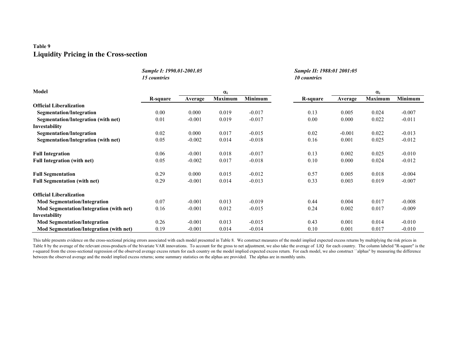#### **Table 9Liquidity Pricing in the Cross-section**

|                                         | Sample I: 1990.01-2001.05<br>15 countries |          |                |          | Sample II: 1988:01 2001:05<br>10 countries |          |                |          |
|-----------------------------------------|-------------------------------------------|----------|----------------|----------|--------------------------------------------|----------|----------------|----------|
| <b>Model</b>                            |                                           |          | $\alpha_i$     |          |                                            |          | $\alpha_i$     |          |
|                                         | <b>R-square</b>                           | Average  | <b>Maximum</b> | Minimum  | R-square                                   | Average  | <b>Maximum</b> | Minimum  |
| <b>Official Liberalization</b>          |                                           |          |                |          |                                            |          |                |          |
| <b>Segmentation/Integration</b>         | 0.00                                      | 0.000    | 0.019          | $-0.017$ | 0.13                                       | 0.005    | 0.024          | $-0.007$ |
| Segmentation/Integration (with net)     | 0.01                                      | $-0.001$ | 0.019          | $-0.017$ | 0.00                                       | 0.000    | 0.022          | $-0.011$ |
| Investability                           |                                           |          |                |          |                                            |          |                |          |
| Segmentation/Integration                | 0.02                                      | 0.000    | 0.017          | $-0.015$ | 0.02                                       | $-0.001$ | 0.022          | $-0.013$ |
| Segmentation/Integration (with net)     | 0.05                                      | $-0.002$ | 0.014          | $-0.018$ | 0.16                                       | 0.001    | 0.025          | $-0.012$ |
| <b>Full Integration</b>                 | 0.06                                      | $-0.001$ | 0.018          | $-0.017$ | 0.13                                       | 0.002    | 0.025          | $-0.010$ |
| <b>Full Integration (with net)</b>      | 0.05                                      | $-0.002$ | 0.017          | $-0.018$ | 0.10                                       | 0.000    | 0.024          | $-0.012$ |
| <b>Full Segmentation</b>                | 0.29                                      | 0.000    | 0.015          | $-0.012$ | 0.57                                       | 0.005    | 0.018          | $-0.004$ |
| <b>Full Segmentation (with net)</b>     | 0.29                                      | $-0.001$ | 0.014          | $-0.013$ | 0.33                                       | 0.003    | 0.019          | $-0.007$ |
| <b>Official Liberalization</b>          |                                           |          |                |          |                                            |          |                |          |
| <b>Mod Segmentation/Integration</b>     | 0.07                                      | $-0.001$ | 0.013          | $-0.019$ | 0.44                                       | 0.004    | 0.017          | $-0.008$ |
| Mod Segmentation/Integration (with net) | 0.16                                      | $-0.001$ | 0.012          | $-0.015$ | 0.24                                       | 0.002    | 0.017          | $-0.009$ |
| Investability                           |                                           |          |                |          |                                            |          |                |          |
| <b>Mod Segmentation/Integration</b>     | 0.26                                      | $-0.001$ | 0.013          | $-0.015$ | 0.43                                       | 0.001    | 0.014          | $-0.010$ |
| Mod Segmentation/Integration (with net) | 0.19                                      | $-0.001$ | 0.014          | $-0.014$ | 0.10                                       | 0.001    | 0.017          | $-0.010$ |

This table presents evidence on the cross-sectional pricing errors associated with each model presented in Table 8. We construct measures of the model implied expected excess returns by multiplying the risk prices in Table 8 by the average of the relevant cross-products of the bivariate VAR innovations. To account for the gross to net adjustment, we also take the average of LIQ for each country. The column labeled "R-square" is the r-squared from the cross-sectional regression of the observed average excess return for each country on the model implied expected excess return. For each model, we also construct ``alphas" by measuring the difference between the observed average and the model implied excess returns; some summary statistics on the alphas are provided. The alphas are in monthly units.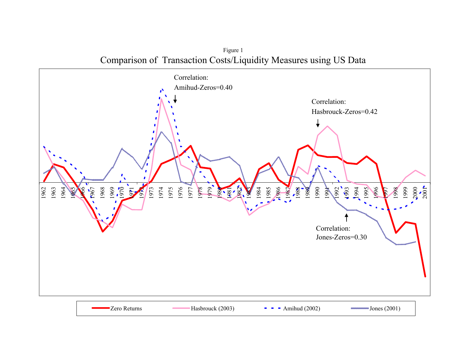1962 1963 1964 1965 1966 1967<br>676<br>1970<br>1981 1973<br>1973<br>1974 1976 1977 1978 1979 1980 1981 1982 1984<br>1985<br>1986 1988<br>1989<br>1989 1990 1991 1992 1995<br>1995<br>1995 1996<br>1991<br>1991 1998 1999 2001<br>2001<br>2001 Zero Returns $H$ asbrouck (2003)  $\blacksquare$   $\blacksquare$   $\blacksquare$  Amihud (2002)  $\blacksquare$  Jones (2001) Correlation: Hasbrouck-Zeros=0.42 Correlation: Amihud-Zeros=0.40 Correlation: Jones-Zeros=0.30

Figure 1 Comparison of Transaction Costs/Liquidity Measures using US Data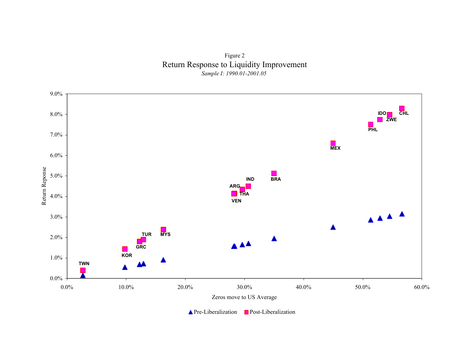Figure 2 Return Response to Liquidity Improvement *Sample I: 1990.01-2001.05*



Pre-Liberalization **Post-Liberalization**